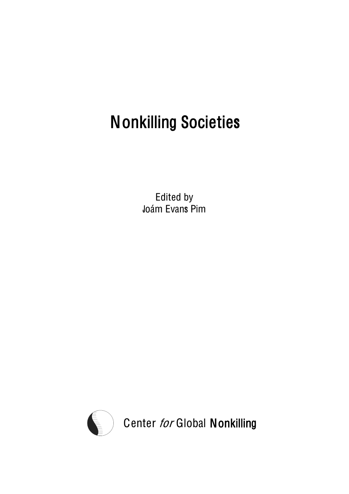Edited by Joám Evans Pim



Center for Global Nonkilling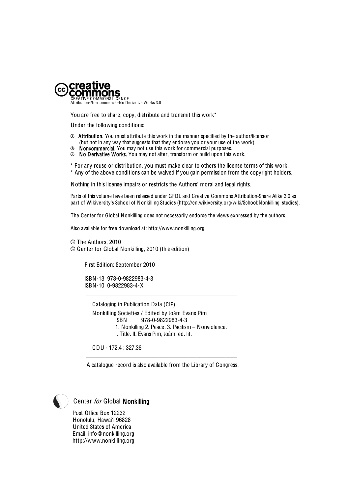

Attribution-Noncommercial-No Derivative Works 3.0

You are free to share, copy, distribute and transmit this work\*

Under the following conditions:

- Attribution. You must attribute this work in the manner specified by the author/licensor (but not in any way that suggests that they endorse you or your use of the work).<br> **Noncommercial** You may not use this work for commercial purposes
- Noncommercial. You may not use this work for commercial purposes.
- No Derivative Works. You may not alter, transform or build upon this work.

\* For any reuse or distribution, you must make clear to others the license terms of this work. \* Any of the above conditions can be waived if you gain permission from the copyright holders.

Nothing in this license impairs or restricts the Authors' moral and legal rights.

Parts of this volume have been released under GFDL and Creative Commons Attribution-Share Alike 3.0 as part of Wikiversity's School of Nonkilling Studies (http://en.wikiversity.org/wiki/School:Nonkilling\_studies).

The Center for Global Nonkilling does not necessarily endorse the views expressed by the authors.

Also available for free download at: http://www.nonkilling.org

© The Authors, 2010 © Center for Global Nonkilling, 2010 (this edition)

First Edition: September 2010

ISBN-13 978-0-9822983-4-3 ISBN-10 0-9822983-4-X

Cataloging in Publication Data (CIP)

Nonkilling Societies / Edited by Joám Evans Pim ISBN 978-0-9822983-4-3 1. Nonkilling 2. Peace. 3. Pacifism – Nonviolence. I. Title. II. Evans Pim, Joám, ed. lit.

\_\_\_\_\_\_\_\_\_\_\_\_\_\_\_\_\_\_\_\_\_\_\_\_\_\_\_\_\_\_\_\_\_\_\_\_\_\_\_\_\_\_\_\_\_\_\_\_\_\_\_\_

CDU - 172.4 : 327.36

 $\overline{\phantom{a}}$  , and the contribution of the contribution of  $\overline{\phantom{a}}$ A catalogue record is also available from the Library of Congress.



#### <sup>C</sup>enter for Globa<sup>l</sup> Nonkillin<sup>g</sup>

Post Office Box 12232 Honolulu, Hawai'i 96828 United States of America Email: info@nonkilling.org http://www.nonkilling.org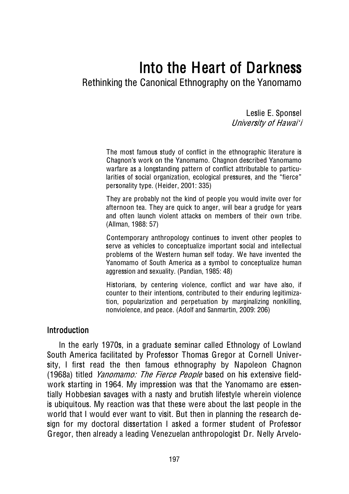## Into the Heart of Darkness

Rethinking the Canonical Ethnography on the Yanomamo

Leslie E. Sponsel University of Hawai<sup>'</sup>i

The most famous study of conflict in the ethnographic literature is Chagnon's work on the Yanomamo. Chagnon described Yanomamo warfare as a longstanding pattern of conflict attributable to particularities of social organization, ecological pressures, and the "fierce" personality type. (Heider, 2001: 335)

They are probably not the kind of people you would invite over for afternoon tea. They are quick to anger, will bear a grudge for years and often launch violent attacks on members of their own tribe. (Allman, 1988: 57)

Contemporary anthropology continues to invent other peoples to serve as vehicles to conceptualize important social and intellectual problems of the Western human self today. We have invented the Yanomamo of South America as a symbol to conceptualize human aggression and sexuality. (Pandian, 1985: 48)

Historians, by centering violence, conflict and war have also, if counter to their intentions, contributed to their enduring legitimization, popularization and perpetuation by marginalizing nonkilling, nonviolence, and peace. (Adolf and Sanmartin, 2009: 206)

### **Introduction**

In the early 1970s, in a graduate seminar called Ethnology of Lowland South America facilitated by Professor Thomas Gregor at Cornell University, I first read the then famous ethnography by Napoleon Chagnon (1968a) titled *Yanomamo: The Fierce People* based on his extensive fieldwork starting in 1964. My impression was that the Yanomamo are essentially Hobbesian savages with a nasty and brutish lifestyle wherein violence is ubiquitous. My reaction was that these were about the last people in the world that I would ever want to visit. But then in planning the research design for my doctoral dissertation I asked a former student of Professor Gregor, then already a leading Venezuelan anthropologist Dr. Nelly Arvelo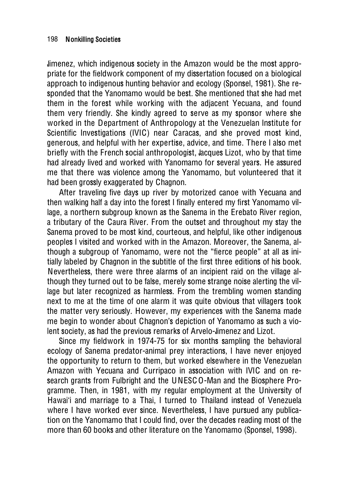Jimenez, which indigenous society in the Amazon would be the most appropriate for the fieldwork component of my dissertation focused on a biological approach to indigenous hunting behavior and ecology (Sponsel, 1981). She responded that the Yanomamo would be best. She mentioned that she had met them in the forest while working with the adjacent Yecuana, and found them very friendly. She kindly agreed to serve as my sponsor where she worked in the Department of Anthropology at the Venezuelan Institute for Scientific Investigations (IVIC) near Caracas, and she proved most kind, generous, and helpful with her expertise, advice, and time. There I also met briefly with the French social anthropologist, Jacques Lizot, who by that time had already lived and worked with Yanomamo for several years. He assured me that there was violence among the Yanomamo, but volunteered that it had been grossly exaggerated by Chagnon.

After traveling five days up river by motorized canoe with Yecuana and then walking half a day into the forest I finally entered my first Yanomamo village, a northern subgroup known as the Sanema in the Erebato River region, a tributary of the Caura River. From the outset and throughout my stay the Sanema proved to be most kind, courteous, and helpful, like other indigenous peoples I visited and worked with in the Amazon. Moreover, the Sanema, although a subgroup of Yanomamo, were not the "fierce people" at all as initially labeled by Chagnon in the subtitle of the first three editions of his book. Nevertheless, there were three alarms of an incipient raid on the village although they turned out to be false, merely some strange noise alerting the village but later recognized as harmless. From the trembling women standing next to me at the time of one alarm it was quite obvious that villagers took the matter very seriously. However, my experiences with the Sanema made me begin to wonder about Chagnon's depiction of Yanomamo as such a violent society, as had the previous remarks of Arvelo-Jimenez and Lizot.

Since my fieldwork in 1974-75 for six months sampling the behavioral ecology of Sanema predator-animal prey interactions, I have never enjoyed the opportunity to return to them, but worked elsewhere in the Venezuelan Amazon with Yecuana and Curripaco in association with IVIC and on research grants from Fulbright and the UNESC O-Man and the Biosphere Programme. Then, in 1981, with my regular employment at the University of Hawai'i and marriage to a Thai, I turned to Thailand instead of Venezuela where I have worked ever since. Nevertheless, I have pursued any publication on the Yanomamo that I could find, over the decades reading most of the more than 60 books and other literature on the Yanomamo (Sponsel, 1998).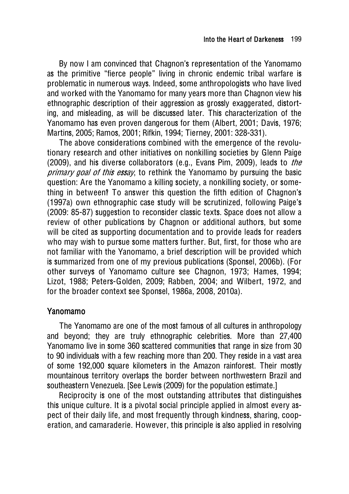By now I am convinced that Chagnon's representation of the Yanomamo as the primitive "fierce people" living in chronic endemic tribal warfare is problematic in numerous ways. Indeed, some anthropologists who have lived and worked with the Yanomamo for many years more than Chagnon view his ethnographic description of their aggression as grossly exaggerated, distorting, and misleading, as will be discussed later. This characterization of the Yanomamo has even proven dangerous for them (Albert, 2001; Davis, 1976; Martins, 2005; Ramos, 2001; Rifkin, 1994; Tierney, 2001: 328-331).

The above considerations combined with the emergence of the revolutionary research and other initiatives on nonkilling societies by Glenn Paige (2009), and his diverse collaborators (e.g., Evans Pim, 2009), leads to *the* primary goal of this essay, to rethink the Yanomamo by pursuing the basic question: Are the Yanomamo a killing society, a nonkilling society, or something in between? To answer this question the fifth edition of Chagnon's (1997a) own ethnographic case study will be scrutinized, following Paige's (2009: 85-87) suggestion to reconsider classic texts. Space does not allow a review of other publications by Chagnon or additional authors, but some will be cited as supporting documentation and to provide leads for readers who may wish to pursue some matters further. But, first, for those who are not familiar with the Yanomamo, a brief description will be provided which is summarized from one of my previous publications (Sponsel, 2006b). (For other surveys of Yanomamo culture see Chagnon, 1973; Hames, 1994; Lizot, 1988; Peters-Golden, 2009; Rabben, 2004; and Wilbert, 1972, and for the broader context see Sponsel, 1986a, 2008, 2010a).

### Yanomamo

The Yanomamo are one of the most famous of all cultures in anthropology and beyond; they are truly ethnographic celebrities. More than 27,400 Yanomamo live in some 360 scattered communities that range in size from 30 to 90 individuals with a few reaching more than 200. They reside in a vast area of some 192,000 square kilometers in the Amazon rainforest. Their mostly mountainous territory overlaps the border between northwestern Brazil and southeastern Venezuela. [See Lewis (2009) for the population estimate.]

Reciprocity is one of the most outstanding attributes that distinguishes this unique culture. It is a pivotal social principle applied in almost every aspect of their daily life, and most frequently through kindness, sharing, cooperation, and camaraderie. However, this principle is also applied in resolving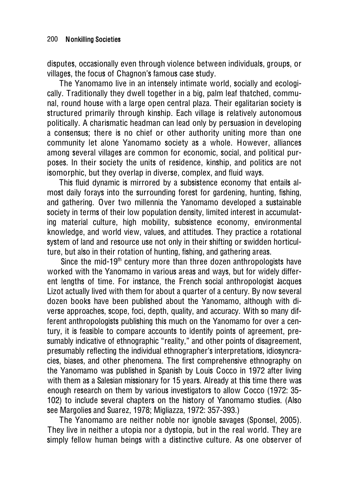disputes, occasionally even through violence between individuals, groups, or villages, the focus of Chagnon's famous case study.

The Yanomamo live in an intensely intimate world, socially and ecologically. Traditionally they dwell together in a big, palm leaf thatched, communal, round house with a large open central plaza. Their egalitarian society is structured primarily through kinship. Each village is relatively autonomous politically. A charismatic headman can lead only by persuasion in developing a consensus; there is no chief or other authority uniting more than one community let alone Yanomamo society as a whole. However, alliances among several villages are common for economic, social, and political purposes. In their society the units of residence, kinship, and politics are not isomorphic, but they overlap in diverse, complex, and fluid ways.

This fluid dynamic is mirrored by a subsistence economy that entails almost daily forays into the surrounding forest for gardening, hunting, fishing, and gathering. Over two millennia the Yanomamo developed a sustainable society in terms of their low population density, limited interest in accumulating material culture, high mobility, subsistence economy, environmental knowledge, and world view, values, and attitudes. They practice a rotational system of land and resource use not only in their shifting or swidden horticulture, but also in their rotation of hunting, fishing, and gathering areas.

Since the mid-19<sup>th</sup> century more than three dozen anthropologists have worked with the Yanomamo in various areas and ways, but for widely different lengths of time. For instance, the French social anthropologist Jacques Lizot actually lived with them for about a quarter of a century. By now several dozen books have been published about the Yanomamo, although with diverse approaches, scope, foci, depth, quality, and accuracy. With so many different anthropologists publishing this much on the Yanomamo for over a century, it is feasible to compare accounts to identify points of agreement, presumably indicative of ethnographic "reality," and other points of disagreement, presumably reflecting the individual ethnographer's interpretations, idiosyncracies, biases, and other phenomena. The first comprehensive ethnography on the Yanomamo was published in Spanish by Louis Cocco in 1972 after living with them as a Salesian missionary for 15 years. Already at this time there was enough research on them by various investigators to allow Cocco (1972: 35- 102) to include several chapters on the history of Yanomamo studies. (Also see Margolies and Suarez, 1978; Migliazza, 1972: 357-393.)

The Yanomamo are neither noble nor ignoble savages (Sponsel, 2005). They live in neither a utopia nor a dystopia, but in the real world. They are simply fellow human beings with a distinctive culture. As one observer of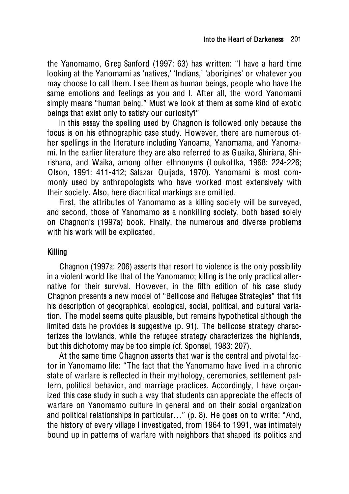the Yanomamo, Greg Sanford (1997: 63) has written: "I have a hard time looking at the Yanomami as 'natives,' 'Indians,' 'aborigines' or whatever you may choose to call them. I see them as human beings, people who have the same emotions and feelings as you and I. After all, the word Yanomami simply means "human being." Must we look at them as some kind of exotic beings that exist only to satisfy our curiosity?"

In this essay the spelling used by Chagnon is followed only because the focus is on his ethnographic case study. However, there are numerous other spellings in the literature including Yanoama, Yanomama, and Yanomami. In the earlier literature they are also referred to as Guaika, Shiriana, Shirishana, and Waika, among other ethnonyms (Loukottka, 1968: 224-226; Olson, 1991: 411-412; Salazar Quijada, 1970). Yanomami is most commonly used by anthropologists who have worked most extensively with their society. Also, here diacritical markings are omitted.

First, the attributes of Yanomamo as a killing society will be surveyed, and second, those of Yanomamo as a nonkilling society, both based solely on Chagnon's (1997a) book. Finally, the numerous and diverse problems with his work will be explicated.

## Killing

Chagnon (1997a: 206) asserts that resort to violence is the only possibility in a violent world like that of the Yanomamo; killing is the only practical alternative for their survival. However, in the fifth edition of his case study Chagnon presents a new model of "Bellicose and Refugee Strategies" that fits his description of geographical, ecological, social, political, and cultural variation. The model seems quite plausible, but remains hypothetical although the limited data he provides is suggestive (p. 91). The bellicose strategy characterizes the lowlands, while the refugee strategy characterizes the highlands, but this dichotomy may be too simple (cf. Sponsel, 1983: 207).

At the same time Chagnon asserts that war is the central and pivotal factor in Yanomamo life: "The fact that the Yanomamo have lived in a chronic state of warfare is reflected in their mythology, ceremonies, settlement pattern, political behavior, and marriage practices. Accordingly, I have organized this case study in such a way that students can appreciate the effects of warfare on Yanomamo culture in general and on their social organization and political relationships in particular…" (p. 8). He goes on to write: "And, the history of every village I investigated, from 1964 to 1991, was intimately bound up in patterns of warfare with neighbors that shaped its politics and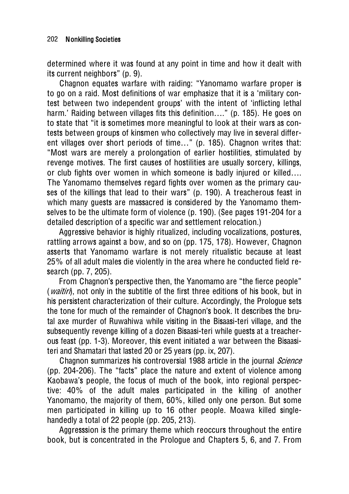determined where it was found at any point in time and how it dealt with its current neighbors" (p. 9).

Chagnon equates warfare with raiding: "Yanomamo warfare proper is to go on a raid. Most definitions of war emphasize that it is a 'military contest between two independent groups' with the intent of 'inflicting lethal harm.' Raiding between villages fits this definition...." (p. 185). He goes on to state that "it is sometimes more meaningful to look at their wars as contests between groups of kinsmen who collectively may live in several different villages over short periods of time…" (p. 185). Chagnon writes that: "Most wars are merely a prolongation of earlier hostilities, stimulated by revenge motives. The first causes of hostilities are usually sorcery, killings, or club fights over women in which someone is badly injured or killed…. The Yanomamo themselves regard fights over women as the primary causes of the killings that lead to their wars" (p. 190). A treacherous feast in which many guests are massacred is considered by the Yanomamo themselves to be the ultimate form of violence (p. 190). (See pages 191-204 for a detailed description of a specific war and settlement relocation.)

Aggressive behavior is highly ritualized, including vocalizations, postures, rattling arrows against a bow, and so on (pp. 175, 178). However, Chagnon asserts that Yanomamo warfare is not merely ritualistic because at least 25% of all adult males die violently in the area where he conducted field research (pp. 7, 205).

From Chagnon's perspective then, the Yanomamo are "the fierce people" (*waitiri*), not only in the subtitle of the first three editions of his book, but in his persistent characterization of their culture. Accordingly, the Prologue sets the tone for much of the remainder of Chagnon's book. It describes the brutal axe murder of Ruwahiwa while visiting in the Bisaasi-teri village, and the subsequently revenge killing of a dozen Bisaasi-teri while guests at a treacherous feast (pp. 1-3). Moreover, this event initiated a war between the Bisaasiteri and Shamatari that lasted 20 or 25 years (pp. ix, 207).

Chagnon summarizes his controversial 1988 article in the journal *Science* (pp. 204-206). The "facts" place the nature and extent of violence among Kaobawa's people, the focus of much of the book, into regional perspective: 40% of the adult males participated in the killing of another Yanomamo, the majority of them, 60%, killed only one person. But some men participated in killing up to 16 other people. Moawa killed singlehandedly a total of 22 people (pp. 205, 213).

Aggresssion is the primary theme which reoccurs throughout the entire book, but is concentrated in the Prologue and Chapters 5, 6, and 7. From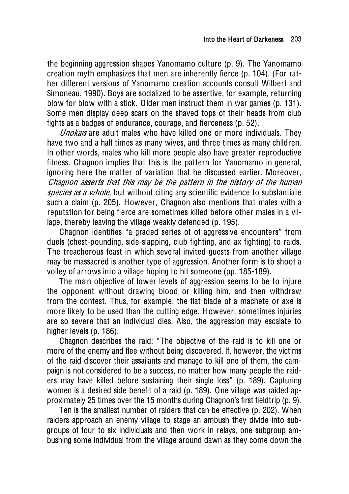the beginning aggression shapes Yanomamo culture (p. 9). The Yanomamo creation myth emphasizes that men are inherently fierce (p. 104). (For rather different versions of Yanomamo creation accounts consult Wilbert and Simoneau, 1990). Boys are socialized to be assertive, for example, returning blow for blow with a stick. Older men instruct them in war games (p. 131). Some men display deep scars on the shaved tops of their heads from club fights as a badges of endurance, courage, and fierceness (p. 52).

Unokais are adult males who have killed one or more individuals. They have two and a half times as many wives, and three times as many children. In other words, males who kill more people also have greater reproductive fitness. Chagnon implies that this is the pattern for Yanomamo in general, ignoring here the matter of variation that he discussed earlier. Moreover, Chagnon assert<sup>s</sup> that this may b<sup>e</sup> the pattern in the history of the huma<sup>n</sup> species as a whole, but without citing any scientific evidence to substantiate such a claim (p. 205). However, Chagnon also mentions that males with a reputation for being fierce are sometimes killed before other males in a village, thereby leaving the village weakly defended (p. 195).

Chagnon identifies "a graded series of of aggressive encounters" from duels (chest-pounding, side-slapping, club fighting, and ax fighting) to raids. The treacherous feast in which several invited guests from another village may be massacred is another type of aggression. Another form is to shoot a volley of arrows into a village hoping to hit someone (pp. 185-189).

The main objective of lower levels of aggression seems to be to injure the opponent without drawing blood or killing him, and then withdraw from the contest. Thus, for example, the flat blade of a machete or axe is more likely to be used than the cutting edge. However, sometimes injuries are so severe that an individual dies. Also, the aggression may escalate to higher levels (p. 186).

Chagnon describes the raid: "The objective of the raid is to kill one or more of the enemy and flee without being discovered. If, however, the victims of the raid discover their assailants and manage to kill one of them, the campaign is not considered to be a success, no matter how many people the raiders may have killed before sustaining their single loss" (p. 189). Capturing women is a desired side benefit of a raid (p. 189). One village was raided approximately 25 times over the 15 months during Chagnon's first fieldtrip (p. 9).

Ten is the smallest number of raiders that can be effective (p. 202). When raiders approach an enemy village to stage an ambush they divide into subgroups of four to six individuals and then work in relays, one subgroup ambushing some individual from the village around dawn as they come down the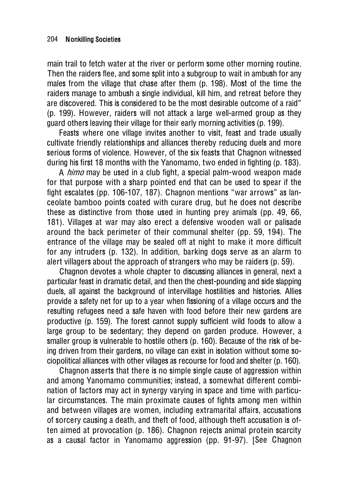main trail to fetch water at the river or perform some other morning routine. Then the raiders flee, and some split into a subgroup to wait in ambush for any males from the village that chase after them (p. 198). Most of the time the raiders manage to ambush a single individual, kill him, and retreat before they are discovered. This is considered to be the most desirable outcome of a raid" (p. 199). However, raiders will not attack a large well-armed group as they guard others leaving their village for their early morning activities (p. 199).

Feasts where one village invites another to visit, feast and trade usually cultivate friendly relationships and alliances thereby reducing duels and more serious forms of violence. However, of the six feasts that Chagnon witnessed during his first 18 months with the Yanomamo, two ended in fighting (p. 183).

A *himo* may be used in a club fight, a special palm-wood weapon made for that purpose with a sharp pointed end that can be used to spear if the fight escalates (pp. 106-107, 187). Chagnon mentions "war arrows" as lanceolate bamboo points coated with curare drug, but he does not describe these as distinctive from those used in hunting prey animals (pp. 49, 66, 181). Villages at war may also erect a defensive wooden wall or palisade around the back perimeter of their communal shelter (pp. 59, 194). The entrance of the village may be sealed off at night to make it more difficult for any intruders (p. 132). In addition, barking dogs serve as an alarm to alert villagers about the approach of strangers who may be raiders (p. 59).

Chagnon devotes a whole chapter to discussing alliances in general, next a particular feast in dramatic detail, and then the chest-pounding and side slapping duels, all against the background of intervillage hostilities and histories. Allies provide a safety net for up to a year when fissioning of a village occurs and the resulting refugees need a safe haven with food before their new gardens are productive (p. 159). The forest cannot supply sufficient wild foods to allow a large group to be sedentary; they depend on garden produce. However, a smaller group is vulnerable to hostile others (p. 160). Because of the risk of being driven from their gardens, no village can exist in isolation without some sociopolitical alliances with other villages as recourse for food and shelter (p. 160).

Chagnon asserts that there is no simple single cause of aggression within and among Yanomamo communities; instead, a somewhat different combination of factors may act in synergy varying in space and time with particular circumstances. The main proximate causes of fights among men within and between villages are women, including extramarital affairs, accusations of sorcery causing a death, and theft of food, although theft accusation is often aimed at provocation (p. 186). Chagnon rejects animal protein scarcity as a causal factor in Yanomamo aggression (pp. 91-97). [See Chagnon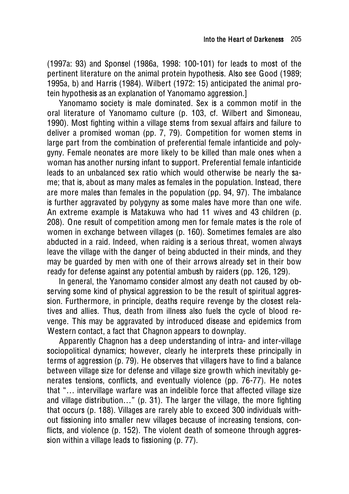(1997a: 93) and Sponsel (1986a, 1998: 100-101) for leads to most of the pertinent literature on the animal protein hypothesis. Also see Good (1989; 1995a, b) and Harris (1984). Wilbert (1972: 15) anticipated the animal protein hypothesis as an explanation of Yanomamo aggression.

Yanomamo society is male dominated. Sex is a common motif in the oral literature of Yanomamo culture (p. 103, cf. Wilbert and Simoneau, 1990). Most fighting within a village stems from sexual affairs and failure to deliver a promised woman (pp. 7, 79). Competition for women stems in large part from the combination of preferential female infanticide and polygyny. Female neonates are more likely to be killed than male ones when a woman has another nursing infant to support. Preferential female infanticide leads to an unbalanced sex ratio which would otherwise be nearly the same; that is, about as many males as females in the population. Instead, there are more males than females in the population (pp. 94, 97). The imbalance is further aggravated by polygyny as some males have more than one wife. An extreme example is Matakuwa who had 11 wives and 43 children (p. 208). One result of competition among men for female mates is the role of women in exchange between villages (p. 160). Sometimes females are also abducted in a raid. Indeed, when raiding is a serious threat, women always leave the village with the danger of being abducted in their minds, and they may be guarded by men with one of their arrows already set in their bow ready for defense against any potential ambush by raiders (pp. 126, 129).

In general, the Yanomamo consider almost any death not caused by observing some kind of physical aggression to be the result of spiritual aggression. Furthermore, in principle, deaths require revenge by the closest relatives and allies. Thus, death from illness also fuels the cycle of blood revenge. This may be aggravated by introduced disease and epidemics from Western contact, a fact that Chagnon appears to downplay.

Apparently Chagnon has a deep understanding of intra- and inter-village sociopolitical dynamics; however, clearly he interprets these principally in terms of aggression (p. 79). He observes that villagers have to find a balance between village size for defense and village size growth which inevitably generates tensions, conflicts, and eventually violence (pp. 76-77). He notes that "… intervillage warfare was an indelible force that affected village size and village distribution…" (p. 31). The larger the village, the more fighting that occurs (p. 188). Villages are rarely able to exceed 300 individuals without fissioning into smaller new villages because of increasing tensions, conflicts, and violence (p. 152). The violent death of someone through aggression within a village leads to fissioning (p. 77).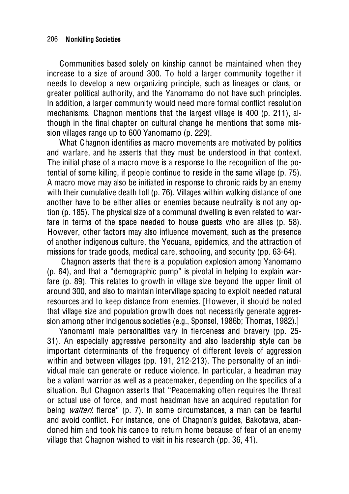Communities based solely on kinship cannot be maintained when they increase to a size of around 300. To hold a larger community together it needs to develop a new organizing principle, such as lineages or clans, or greater political authority, and the Yanomamo do not have such principles. In addition, a larger community would need more formal conflict resolution mechanisms. Chagnon mentions that the largest village is 400 (p. 211), although in the final chapter on cultural change he mentions that some mission villages range up to 600 Yanomamo (p. 229).

What Chagnon identifies as macro movements are motivated by politics and warfare, and he asserts that they must be understood in that context. The initial phase of a macro move is a response to the recognition of the potential of some killing, if people continue to reside in the same village (p. 75). A macro move may also be initiated in response to chronic raids by an enemy with their cumulative death toll (p. 76). Villages within walking distance of one another have to be either allies or enemies because neutrality is not any option (p. 185). The physical size of a communal dwelling is even related to warfare in terms of the space needed to house guests who are allies (p. 58). However, other factors may also influence movement, such as the presence of another indigenous culture, the Yecuana, epidemics, and the attraction of missions for trade goods, medical care, schooling, and security (pp. 63-64).

 Chagnon asserts that there is a population explosion among Yanomamo (p. 64), and that a "demographic pump" is pivotal in helping to explain warfare (p. 89). This relates to growth in village size beyond the upper limit of around 300, and also to maintain intervillage spacing to exploit needed natural resources and to keep distance from enemies. [However, it should be noted that village size and population growth does not necessarily generate aggression among other indigenous societies (e.g., Sponsel, 1986b; Thomas, 1982).]

Yanomami male personalities vary in fierceness and bravery (pp. 25- 31). An especially aggressive personality and also leadership style can be important determinants of the frequency of different levels of aggression within and between villages (pp. 191, 212-213). The personality of an individual male can generate or reduce violence. In particular, a headman may be a valiant warrior as well as a peacemaker, depending on the specifics of a situation. But Chagnon asserts that "Peacemaking often requires the threat or actual use of force, and most headman have an acquired reputation for being *waiteri*: fierce" (p. 7). In some circumstances, a man can be fearful and avoid conflict. For instance, one of Chagnon's guides, Bakotawa, abandoned him and took his canoe to return home because of fear of an enemy village that Chagnon wished to visit in his research (pp. 36, 41).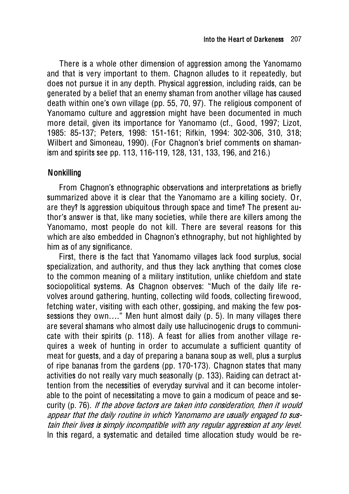There is a whole other dimension of aggression among the Yanomamo and that is very important to them. Chagnon alludes to it repeatedly, but does not pursue it in any depth. Physical aggression, including raids, can be generated by a belief that an enemy shaman from another village has caused death within one's own village (pp. 55, 70, 97). The religious component of Yanomamo culture and aggression might have been documented in much more detail, given its importance for Yanomamo (cf., Good, 1997; Lizot, 1985: 85-137; Peters, 1998: 151-161; Rifkin, 1994: 302-306, 310, 318; Wilbert and Simoneau, 1990). (For Chagnon's brief comments on shamanism and spirits see pp. 113, 116-119, 128, 131, 133, 196, and 216.)

## **Nonkilling**

From Chagnon's ethnographic observations and interpretations as briefly summarized above it is clear that the Yanomamo are a killing society. Or, are they? Is aggression ubiquitous through space and time? The present author's answer is that, like many societies, while there are killers among the Yanomamo, most people do not kill. There are several reasons for this which are also embedded in Chagnon's ethnography, but not highlighted by him as of any significance.

First, there is the fact that Yanomamo villages lack food surplus, social specialization, and authority, and thus they lack anything that comes close to the common meaning of a military institution, unlike chiefdom and state sociopolitical systems. As Chagnon observes: "Much of the daily life revolves around gathering, hunting, collecting wild foods, collecting firewood, fetching water, visiting with each other, gossiping, and making the few possessions they own...." Men hunt almost daily (p. 5). In many villages there are several shamans who almost daily use hallucinogenic drugs to communicate with their spirits (p. 118). A feast for allies from another village requires a week of hunting in order to accumulate a sufficient quantity of meat for guests, and a day of preparing a banana soup as well, plus a surplus of ripe bananas from the gardens (pp. 170-173). Chagnon states that many activities do not really vary much seasonally (p. 133). Raiding can detract attention from the necessities of everyday survival and it can become intolerable to the point of necessitating a move to gain a modicum of peace and security (p. 76). If the above factors are taken into consideration, then it would <sup>a</sup>ppear that the daily routin<sup>e</sup> in which Yanomamo are usually <sup>e</sup>ngaged to sustain their live<sup>s</sup> i<sup>s</sup> <sup>s</sup>imply incompatible with any regular aggression at <sup>a</sup>ny level. In this regard, a systematic and detailed time allocation study would be re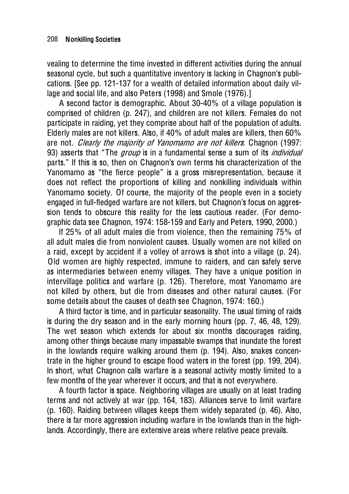vealing to determine the time invested in different activities during the annual seasonal cycle, but such a quantitative inventory is lacking in Chagnon's publications. [See pp. 121-137 for a wealth of detailed information about daily village and social life, and also Peters (1998) and Smole (1976).]

A second factor is demographic. About 30-40% of a village population is comprised of children (p. 247), and children are not killers. Females do not participate in raiding, yet they comprise about half of the population of adults. Elderly males are not killers. Also, if 40% of adult males are killers, then 60% are not. *Clearly the majority of Yanomamo are not killers*. Chagnon (1997: 93) asserts that "The *group* is in a fundamental sense a sum of its *individual* parts." If this is so, then on Chagnon's own terms his characterization of the Yanomamo as "the fierce people" is a gross misrepresentation, because it does not reflect the proportions of killing and nonkilling individuals within Yanomamo society. Of course, the majority of the people even in a society engaged in full-fledged warfare are not killers, but Chagnon's focus on aggression tends to obscure this reality for the less cautious reader. (For demographic data see Chagnon, 1974: 158-159 and Early and Peters, 1990, 2000.)

If 25% of all adult males die from violence, then the remaining 75% of all adult males die from nonviolent causes. Usually women are not killed on a raid, except by accident if a volley of arrows is shot into a village (p. 24). Old women are highly respected, immune to raiders, and can safely serve as intermediaries between enemy villages. They have a unique position in intervillage politics and warfare (p. 126). Therefore, most Yanomamo are not killed by others, but die from diseases and other natural causes. (For some details about the causes of death see Chagnon, 1974: 160.)

A third factor is time, and in particular seasonality. The usual timing of raids is during the dry season and in the early morning hours (pp. 7, 46, 48, 129). The wet season which extends for about six months discourages raiding, among other things because many impassable swamps that inundate the forest in the lowlands require walking around them (p. 194). Also, snakes concentrate in the higher ground to escape flood waters in the forest (pp. 199, 204). In short, what Chagnon calls warfare is a seasonal activity mostly limited to a few months of the year wherever it occurs, and that is not everywhere.

A fourth factor is space. Neighboring villages are usually on at least trading terms and not actively at war (pp. 164, 183). Alliances serve to limit warfare (p. 160). Raiding between villages keeps them widely separated (p. 46). Also, there is far more aggression including warfare in the lowlands than in the highlands. Accordingly, there are extensive areas where relative peace prevails.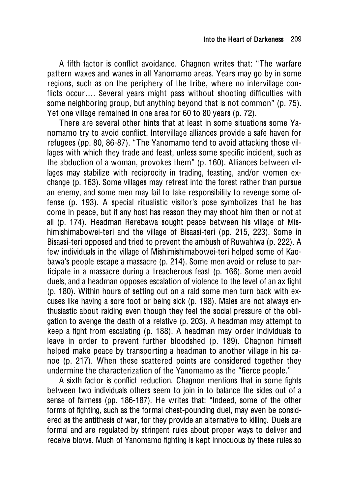A fifth factor is conflict avoidance. Chagnon writes that: "The warfare pattern waxes and wanes in all Yanomamo areas. Years may go by in some regions, such as on the periphery of the tribe, where no intervillage conflicts occur.... Several years might pass without shooting difficulties with some neighboring group, but anything beyond that is not common" (p. 75). Yet one village remained in one area for 60 to 80 years (p. 72).

There are several other hints that at least in some situations some Yanomamo try to avoid conflict. Intervillage alliances provide a safe haven for refugees (pp. 80, 86-87). "The Yanomamo tend to avoid attacking those villages with which they trade and feast, unless some specific incident, such as the abduction of a woman, provokes them" (p. 160). Alliances between villages may stabilize with reciprocity in trading, feasting, and/or women exchange (p. 163). Some villages may retreat into the forest rather than pursue an enemy, and some men may fail to take responsibility to revenge some offense (p. 193). A special ritualistic visitor's pose symbolizes that he has come in peace, but if any host has reason they may shoot him then or not at all (p. 174). Headman Rerebawa sought peace between his village of Mishimishimabowei-teri and the village of Bisaasi-teri (pp. 215, 223). Some in Bisaasi-teri opposed and tried to prevent the ambush of Ruwahiwa (p. 222). A few individuals in the village of Mishimishimabowei-teri helped some of Kaobawa's people escape a massacre (p. 214). Some men avoid or refuse to participate in a massacre during a treacherous feast (p. 166). Some men avoid duels, and a headman opposes escalation of violence to the level of an ax fight (p. 180). Within hours of setting out on a raid some men turn back with excuses like having a sore foot or being sick (p. 198). Males are not always enthusiastic about raiding even though they feel the social pressure of the obligation to avenge the death of a relative (p. 203). A headman may attempt to keep a fight from escalating (p. 188). A headman may order individuals to leave in order to prevent further bloodshed (p. 189). Chagnon himself helped make peace by transporting a headman to another village in his canoe (p. 217). When these scattered points are considered together they undermine the characterization of the Yanomamo as the "fierce people."

A sixth factor is conflict reduction. Chagnon mentions that in some fights between two individuals others seem to join in to balance the sides out of a sense of fairness (pp. 186-187). He writes that: "Indeed, some of the other forms of fighting, such as the formal chest-pounding duel, may even be considered as the antithesis of war, for they provide an alternative to killing. Duels are formal and are regulated by stringent rules about proper ways to deliver and receive blows. Much of Yanomamo fighting is kept innocuous by these rules so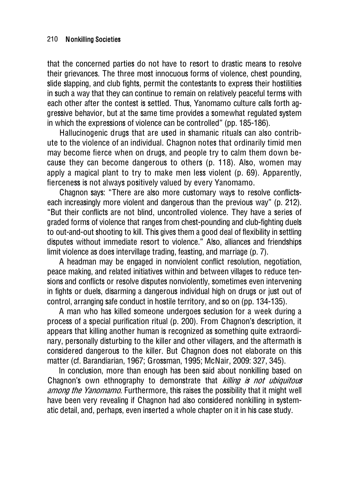that the concerned parties do not have to resort to drastic means to resolve their grievances. The three most innocuous forms of violence, chest pounding, slide slapping, and club fights, permit the contestants to express their hostilities in such a way that they can continue to remain on relatively peaceful terms with each other after the contest is settled. Thus, Yanomamo culture calls forth aggressive behavior, but at the same time provides a somewhat regulated system in which the expressions of violence can be controlled" (pp. 185-186).

Hallucinogenic drugs that are used in shamanic rituals can also contribute to the violence of an individual. Chagnon notes that ordinarily timid men may become fierce when on drugs, and people try to calm them down because they can become dangerous to others (p. 118). Also, women may apply a magical plant to try to make men less violent (p. 69). Apparently, fierceness is not always positively valued by every Yanomamo.

Chagnon says: "There are also more customary ways to resolve conflictseach increasingly more violent and dangerous than the previous way" (p. 212). "But their conflicts are not blind, uncontrolled violence. They have a series of graded forms of violence that ranges from chest-pounding and club-fighting duels to out-and-out shooting to kill. This gives them a good deal of flexibility in settling disputes without immediate resort to violence." Also, alliances and friendships limit violence as does intervillage trading, feasting, and marriage (p. 7).

A headman may be engaged in nonviolent conflict resolution, negotiation, peace making, and related initiatives within and between villages to reduce tensions and conflicts or resolve disputes nonviolently, sometimes even intervening in fights or duels, disarming a dangerous individual high on drugs or just out of control, arranging safe conduct in hostile territory, and so on (pp. 134-135).

A man who has killed someone undergoes seclusion for a week during a process of a special purification ritual (p. 200). From Chagnon's description, it appears that killing another human is recognized as something quite extraordinary, personally disturbing to the killer and other villagers, and the aftermath is considered dangerous to the killer. But Chagnon does not elaborate on this matter (cf. Barandiarian, 1967; Grossman, 1995; McNair, 2009: 327, 345).

In conclusion, more than enough has been said about nonkilling based on Chagnon's own ethnography to demonstrate that *killing is not ubiquitous* among the Yanomamo. Furthermore, this raises the possibility that it might well have been very revealing if Chagnon had also considered nonkilling in systematic detail, and, perhaps, even inserted a whole chapter on it in his case study.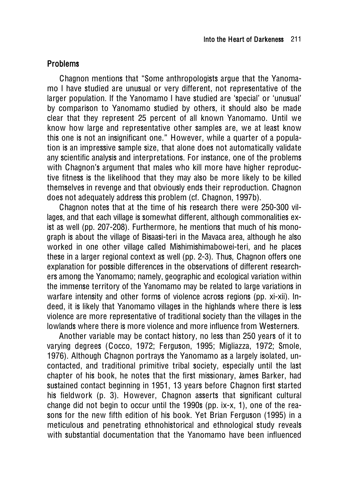## Problems

Chagnon mentions that "Some anthropologists argue that the Yanomamo I have studied are unusual or very different, not representative of the larger population. If the Yanomamo I have studied are 'special' or 'unusual' by comparison to Yanomamo studied by others, it should also be made clear that they represent 25 percent of all known Yanomamo. Until we know how large and representative other samples are, we at least know this one is not an insignificant one." However, while a quarter of a population is an impressive sample size, that alone does not automatically validate any scientific analysis and interpretations. For instance, one of the problems with Chagnon's argument that males who kill more have higher reproductive fitness is the likelihood that they may also be more likely to be killed themselves in revenge and that obviously ends their reproduction. Chagnon does not adequately address this problem (cf. Chagnon, 1997b).

Chagnon notes that at the time of his research there were 250-300 villages, and that each village is somewhat different, although commonalities exist as well (pp. 207-208). Furthermore, he mentions that much of his monograph is about the village of Bisaasi-teri in the Mavaca area, although he also worked in one other village called Mishimishimabowei-teri, and he places these in a larger regional context as well (pp. 2-3). Thus, Chagnon offers one explanation for possible differences in the observations of different researchers among the Yanomamo; namely, geographic and ecological variation within the immense territory of the Yanomamo may be related to large variations in warfare intensity and other forms of violence across regions (pp. xi-xii). Indeed, it is likely that Yanomamo villages in the highlands where there is less violence are more representative of traditional society than the villages in the lowlands where there is more violence and more influence from Westerners.

Another variable may be contact history, no less than 250 years of it to varying degrees (Cocco, 1972; Ferguson, 1995; Migliazza, 1972; Smole, 1976). Although Chagnon portrays the Yanomamo as a largely isolated, uncontacted, and traditional primitive tribal society, especially until the last chapter of his book, he notes that the first missionary, James Barker, had sustained contact beginning in 1951, 13 years before Chagnon first started his fieldwork (p. 3). However, Chagnon asserts that significant cultural change did not begin to occur until the 1990s (pp. ix-x, 1), one of the reasons for the new fifth edition of his book. Yet Brian Ferguson (1995) in a meticulous and penetrating ethnohistorical and ethnological study reveals with substantial documentation that the Yanomamo have been influenced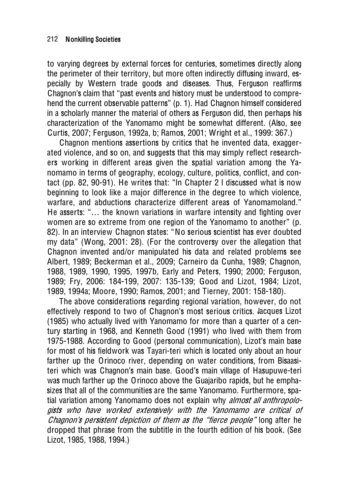to varying degrees by external forces for centuries, sometimes directly along the perimeter of their territory, but more often indirectly diffusing inward, especially by Western trade goods and diseases. Thus, Ferguson reaffirms Chagnon's claim that "past events and history must be understood to comprehend the current observable patterns" (p. 1). Had Chagnon himself considered in a scholarly manner the material of others as Ferguson did, then perhaps his characterization of the Yanomamo might be somewhat different. (Also, see Curtis, 2007; Ferguson, 1992a, b; Ramos, 2001; Wright et al., 1999: 367.)

Chagnon mentions assertions by critics that he invented data, exaggerated violence, and so on, and suggests that this may simply reflect researchers working in different areas given the spatial variation among the Yanomamo in terms of geography, ecology, culture, politics, conflict, and contact (pp. 82, 90-91). He writes that: "In Chapter 2 I discussed what is now beginning to look like a major difference in the degree to which violence, warfare, and abductions characterize different areas of Yanomamoland." He asserts: "… the known variations in warfare intensity and fighting over women are so extreme from one region of the Yanomamo to another" (p. 82). In an interview Chagnon states: "No serious scientist has ever doubted my data" (Wong, 2001: 28). (For the controversy over the allegation that Chagnon invented and/or manipulated his data and related problems see Albert, 1989; Beckerman et al., 2009; Carneiro da Cunha, 1989; Chagnon, 1988, 1989, 1990, 1995, 1997b, Early and Peters, 1990; 2000; Ferguson, 1989; Fry, 2006: 184-199, 2007: 135-139; Good and Lizot, 1984; Lizot, 1989, 1994a; Moore, 1990; Ramos, 2001; and Tierney, 2001: 158-180).

The above considerations regarding regional variation, however, do not effectively respond to two of Chagnon's most serious critics. Jacques Lizot (1985) who actually lived with Yanomamo for more than a quarter of a century starting in 1968, and Kenneth Good (1991) who lived with them from 1975-1988. According to Good (personal communication), Lizot's main base for most of his fieldwork was Tayari-teri which is located only about an hour farther up the Orinoco river, depending on water conditions, from Bisaasiteri which was Chagnon's main base. Good's main village of Hasupuwe-teri was much farther up the Orinoco above the Guajaribo rapids, but he emphasizes that all of the communities are the same Yanomamo. Furthermore, spatial variation among Yanomamo does not explain why *almost all anthropolo*gists who have worked extensively with the Yanomamo ar<sup>e</sup> <sup>c</sup>ritical of Chagnon's persistent depiction of them as the "fierce people" long after he dropped that phrase from the subtitle in the fourth edition of his book. (See Lizot, 1985, 1988, 1994.)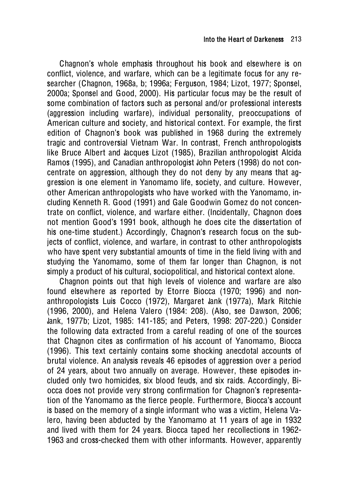Chagnon's whole emphasis throughout his book and elsewhere is on conflict, violence, and warfare, which can be a legitimate focus for any researcher (Chagnon, 1968a, b; 1996a; Ferguson, 1984; Lizot, 1977; Sponsel, 2000a; Sponsel and Good, 2000). His particular focus may be the result of some combination of factors such as personal and/or professional interests (aggression including warfare), individual personality, preoccupations of American culture and society, and historical context. For example, the first edition of Chagnon's book was published in 1968 during the extremely tragic and controversial Vietnam War. In contrast, French anthropologists like Bruce Albert and Jacques Lizot (1985), Brazilian anthropologist Alcida Ramos (1995), and Canadian anthropologist John Peters (1998) do not concentrate on aggression, although they do not deny by any means that aggression is one element in Yanomamo life, society, and culture. However, other American anthropologists who have worked with the Yanomamo, including Kenneth R. Good (1991) and Gale Goodwin Gomez do not concentrate on conflict, violence, and warfare either. (Incidentally, Chagnon does not mention Good's 1991 book, although he does cite the dissertation of his one-time student.) Accordingly, Chagnon's research focus on the subjects of conflict, violence, and warfare, in contrast to other anthropologists who have spent very substantial amounts of time in the field living with and studying the Yanomamo, some of them far longer than Chagnon, is not simply a product of his cultural, sociopolitical, and historical context alone.

Chagnon points out that high levels of violence and warfare are also found elsewhere as reported by Etorre Biocca (1970; 1996) and nonanthropologists Luis Cocco (1972), Margaret Jank (1977a), Mark Ritchie (1996, 2000), and Helena Valero (1984: 208). (Also, see Dawson, 2006; Jank, 1977b; Lizot, 1985: 141-185; and Peters, 1998: 207-220.) Consider the following data extracted from a careful reading of one of the sources that Chagnon cites as confirmation of his account of Yanomamo, Biocca (1996). This text certainly contains some shocking anecdotal accounts of brutal violence. An analysis reveals 46 episodes of aggression over a period of 24 years, about two annually on average. However, these episodes included only two homicides, six blood feuds, and six raids. Accordingly, Biocca does not provide very strong confirmation for Chagnon's representation of the Yanomamo as the fierce people. Furthermore, Biocca's account is based on the memory of a single informant who was a victim, Helena Valero, having been abducted by the Yanomamo at 11 years of age in 1932 and lived with them for 24 years. Biocca taped her recollections in 1962- 1963 and cross-checked them with other informants. However, apparently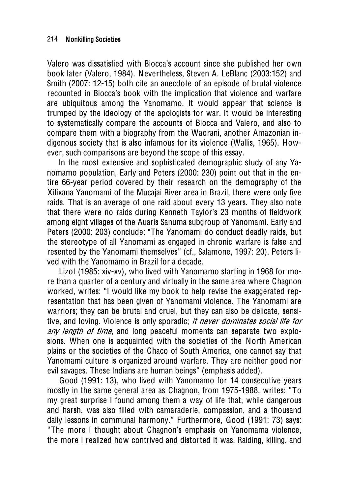Valero was dissatisfied with Biocca's account since she published her own book later (Valero, 1984). Nevertheless, Steven A. LeBlanc (2003:152) and Smith (2007: 12-15) both cite an anecdote of an episode of brutal violence recounted in Biocca's book with the implication that violence and warfare are ubiquitous among the Yanomamo. It would appear that science is trumped by the ideology of the apologists for war. It would be interesting to systematically compare the accounts of Biocca and Valero, and also to compare them with a biography from the Waorani, another Amazonian indigenous society that is also infamous for its violence (Wallis, 1965). However, such comparisons are beyond the scope of this essay.

In the most extensive and sophisticated demographic study of any Yanomamo population, Early and Peters (2000: 230) point out that in the entire 66-year period covered by their research on the demography of the Xilixana Yanomami of the Mucajai River area in Brazil, there were only five raids. That is an average of one raid about every 13 years. They also note that there were no raids during Kenneth Taylor's 23 months of fieldwork among eight villages of the Auaris Sanuma subgroup of Yanomami. Early and Peters (2000: 203) conclude: "The Yanomami do conduct deadly raids, but the stereotype of all Yanomami as engaged in chronic warfare is false and resented by the Yanomami themselves" (cf., Salamone, 1997: 20). Peters lived with the Yanomamo in Brazil for a decade.

Lizot (1985: xiv-xv), who lived with Yanomamo starting in 1968 for more than a quarter of a century and virtually in the same area where Chagnon worked, writes: "I would like my book to help revise the exaggerated representation that has been given of Yanomami violence. The Yanomami are warriors; they can be brutal and cruel, but they can also be delicate, sensitive, and loving. Violence is only sporadic; *it never dominates social life for* any length of time, and long peaceful moments can separate two explosions. When one is acquainted with the societies of the North American plains or the societies of the Chaco of South America, one cannot say that Yanomami culture is organized around warfare. They are neither good nor evil savages. These Indians are human beings" (emphasis added).

Good (1991: 13), who lived with Yanomamo for 14 consecutive years mostly in the same general area as Chagnon, from 1975-1988, writes: "To my great surprise I found among them a way of life that, while dangerous and harsh, was also filled with camaraderie, compassion, and a thousand daily lessons in communal harmony." Furthermore, Good (1991: 73) says: "The more I thought about Chagnon's emphasis on Yanomama violence, the more I realized how contrived and distorted it was. Raiding, killing, and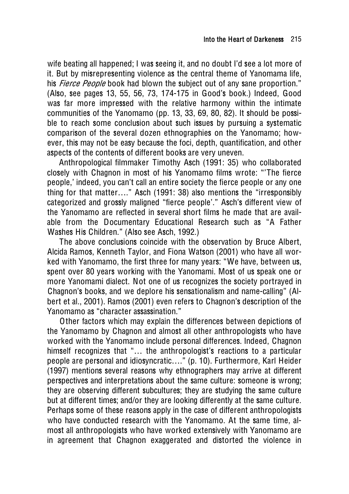wife beating all happened; I was seeing it, and no doubt I'd see a lot more of it. But by misrepresenting violence as the central theme of Yanomama life, his *Fierce People* book had blown the subject out of any sane proportion." (Also, see pages 13, 55, 56, 73, 174-175 in Good's book.) Indeed, Good was far more impressed with the relative harmony within the intimate communities of the Yanomamo (pp. 13, 33, 69, 80, 82). It should be possible to reach some conclusion about such issues by pursuing a systematic comparison of the several dozen ethnographies on the Yanomamo; however, this may not be easy because the foci, depth, quantification, and other aspects of the contents of different books are very uneven.

Anthropological filmmaker Timothy Asch (1991: 35) who collaborated closely with Chagnon in most of his Yanomamo films wrote: "'The fierce people,' indeed, you can't call an entire society the fierce people or any one thing for that matter…." Asch (1991: 38) also mentions the "irresponsibly categorized and grossly maligned "fierce people'." Asch's different view of the Yanomamo are reflected in several short films he made that are available from the Documentary Educational Research such as "A Father Washes His Children." (Also see Asch, 1992.)

The above conclusions coincide with the observation by Bruce Albert, Alcida Ramos, Kenneth Taylor, and Fiona Watson (2001) who have all worked with Yanomamo, the first three for many years: "We have, between us, spent over 80 years working with the Yanomami. Most of us speak one or more Yanomami dialect. Not one of us recognizes the society portrayed in Chagnon's books, and we deplore his sensationalism and name-calling" (Albert et al., 2001). Ramos (2001) even refers to Chagnon's description of the Yanomamo as "character assassination."

Other factors which may explain the differences between depictions of the Yanomamo by Chagnon and almost all other anthropologists who have worked with the Yanomamo include personal differences. Indeed, Chagnon himself recognizes that "... the anthropologist's reactions to a particular people are personal and idiosyncratic…." (p. 10). Furthermore, Karl Heider (1997) mentions several reasons why ethnographers may arrive at different perspectives and interpretations about the same culture: someone is wrong; they are observing different subcultures; they are studying the same culture but at different times; and/or they are looking differently at the same culture. Perhaps some of these reasons apply in the case of different anthropologists who have conducted research with the Yanomamo. At the same time, almost all anthropologists who have worked extensively with Yanomamo are in agreement that Chagnon exaggerated and distorted the violence in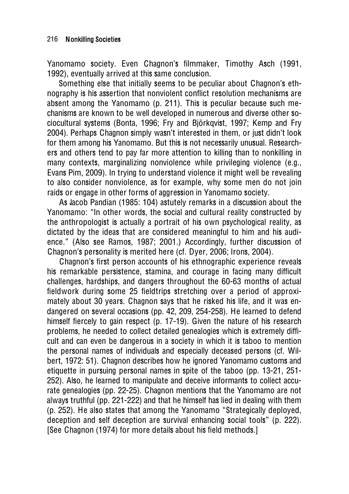Yanomamo society. Even Chagnon's filmmaker, Timothy Asch (1991, 1992), eventually arrived at this same conclusion.

Something else that initially seems to be peculiar about Chagnon's ethnography is his assertion that nonviolent conflict resolution mechanisms are absent among the Yanomamo (p. 211). This is peculiar because such mechanisms are known to be well developed in numerous and diverse other sociocultural systems (Bonta, 1996; Fry and Björkqvist, 1997; Kemp and Fry 2004). Perhaps Chagnon simply wasn't interested in them, or just didn't look for them among his Yanomamo. But this is not necessarily unusual. Researchers and others tend to pay far more attention to killing than to nonkilling in many contexts, marginalizing nonviolence while privileging violence (e.g., Evans Pim, 2009). In trying to understand violence it might well be revealing to also consider nonviolence, as for example, why some men do not join raids or engage in other forms of aggression in Yanomamo society.

As Jacob Pandian (1985: 104) astutely remarks in a discussion about the Yanomamo: "In other words, the social and cultural reality constructed by the anthropologist is actually a portrait of his own psychological reality, as dictated by the ideas that are considered meaningful to him and his audience." (Also see Ramos, 1987; 2001.) Accordingly, further discussion of Chagnon's personality is merited here (cf. Dyer, 2006; Irons, 2004).

Chagnon's first person accounts of his ethnographic experience reveals his remarkable persistence, stamina, and courage in facing many difficult challenges, hardships, and dangers throughout the 60-63 months of actual fieldwork during some 25 fieldtrips stretching over a period of approximately about 30 years. Chagnon says that he risked his life, and it was endangered on several occasions (pp. 42, 209, 254-258). He learned to defend himself fiercely to gain respect (p. 17-19). Given the nature of his research problems, he needed to collect detailed genealogies which is extremely difficult and can even be dangerous in a society in which it is taboo to mention the personal names of individuals and especially deceased persons (cf. Wilbert, 1972: 51). Chagnon describes how he ignored Yanomamo customs and etiquette in pursuing personal names in spite of the taboo (pp. 13-21, 251- 252). Also, he learned to manipulate and deceive informants to collect accurate genealogies (pp. 22-25). Chagnon mentions that the Yanomamo are not always truthful (pp. 221-222) and that he himself has lied in dealing with them (p. 252). He also states that among the Yanomamo "Strategically deployed, deception and self deception are survival enhancing social tools" (p. 222). [See Chagnon (1974) for more details about his field methods.]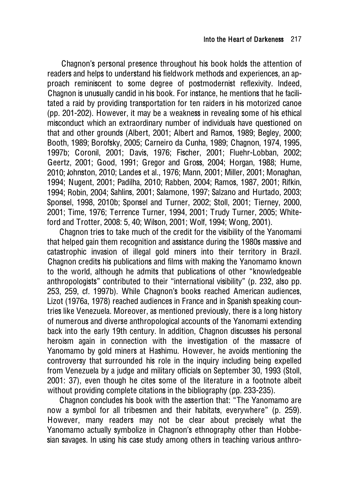Chagnon's personal presence throughout his book holds the attention of readers and helps to understand his fieldwork methods and experiences, an approach reminiscent to some degree of postmodernist reflexivity. Indeed, Chagnon is unusually candid in his book. For instance, he mentions that he facilitated a raid by providing transportation for ten raiders in his motorized canoe (pp. 201-202). However, it may be a weakness in revealing some of his ethical misconduct which an extraordinary number of individuals have questioned on that and other grounds (Albert, 2001; Albert and Ramos, 1989; Begley, 2000; Booth, 1989; Borofsky, 2005; Carneiro da Cunha, 1989; Chagnon, 1974, 1995, 1997b; Coronil, 2001; Davis, 1976; Fischer, 2001; Fluehr-Lobban, 2002; Geertz, 2001; Good, 1991; Gregor and Gross, 2004; Horgan, 1988; Hume, 2010; Johnston, 2010; Landes et al., 1976; Mann, 2001; Miller, 2001; Monaghan, 1994; Nugent, 2001; Padilha, 2010; Rabben, 2004; Ramos, 1987, 2001; Rifkin, 1994; Robin, 2004; Sahlins, 2001; Salamone, 1997; Salzano and Hurtado, 2003; Sponsel, 1998, 2010b; Sponsel and Turner, 2002; Stoll, 2001; Tierney, 2000, 2001; Time, 1976; Terrence Turner, 1994, 2001; Trudy Turner, 2005; Whiteford and Trotter, 2008: 5, 40; Wilson, 2001; Wolf, 1994; Wong, 2001).

Chagnon tries to take much of the credit for the visibility of the Yanomami that helped gain them recognition and assistance during the 1980s massive and catastrophic invasion of illegal gold miners into their territory in Brazil. Chagnon credits his publications and films with making the Yanomamo known to the world, although he admits that publications of other "knowledgeable anthropologists" contributed to their "international visibility" (p. 232, also pp. 253, 259, cf. 1997b). While Chagnon's books reached American audiences, Lizot (1976a, 1978) reached audiences in France and in Spanish speaking countries like Venezuela. Moreover, as mentioned previously, there is a long history of numerous and diverse anthropological accounts of the Yanomami extending back into the early 19th century. In addition, Chagnon discusses his personal heroism again in connection with the investigation of the massacre of Yanomamo by gold miners at Hashimu. However, he avoids mentioning the controversy that surrounded his role in the inquiry including being expelled from Venezuela by a judge and military officials on September 30, 1993 (Stoll, 2001: 37), even though he cites some of the literature in a footnote albeit without providing complete citations in the bibliography (pp. 233-235).

Chagnon concludes his book with the assertion that: "The Yanomamo are now a symbol for all tribesmen and their habitats, everywhere" (p. 259). However, many readers may not be clear about precisely what the Yanomamo actually symbolize in Chagnon's ethnography other than Hobbesian savages. In using his case study among others in teaching various anthro-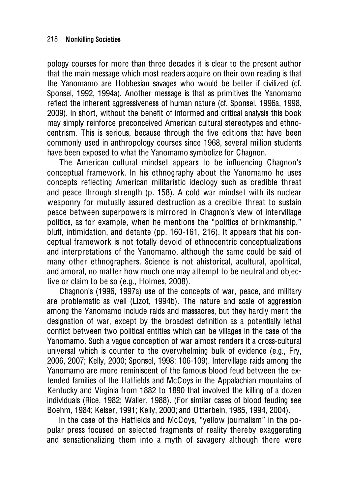pology courses for more than three decades it is clear to the present author that the main message which most readers acquire on their own reading is that the Yanomamo are Hobbesian savages who would be better if civilized (cf. Sponsel, 1992, 1994a). Another message is that as primitives the Yanomamo reflect the inherent aggressiveness of human nature (cf. Sponsel, 1996a, 1998, 2009). In short, without the benefit of informed and critical analysis this book may simply reinforce preconceived American cultural stereotypes and ethnocentrism. This is serious, because through the five editions that have been commonly used in anthropology courses since 1968, several million students have been exposed to what the Yanomamo symbolize for Chagnon.

The American cultural mindset appears to be influencing Chagnon's conceptual framework. In his ethnography about the Yanomamo he uses concepts reflecting American militaristic ideology such as credible threat and peace through strength (p. 158). A cold war mindset with its nuclear weaponry for mutually assured destruction as a credible threat to sustain peace between superpowers is mirrored in Chagnon's view of intervillage politics, as for example, when he mentions the "politics of brinkmanship," bluff, intimidation, and detante (pp. 160-161, 216). It appears that his conceptual framework is not totally devoid of ethnocentric conceptualizations and interpretations of the Yanomamo, although the same could be said of many other ethnographers. Science is not ahistorical, acultural, apolitical, and amoral, no matter how much one may attempt to be neutral and objective or claim to be so (e.g., Holmes, 2008).

Chagnon's (1996, 1997a) use of the concepts of war, peace, and military are problematic as well (Lizot, 1994b). The nature and scale of aggression among the Yanomamo include raids and massacres, but they hardly merit the designation of war, except by the broadest definition as a potentially lethal conflict between two political entities which can be villages in the case of the Yanomamo. Such a vague conception of war almost renders it a cross-cultural universal which is counter to the overwhelming bulk of evidence (e.g., Fry, 2006, 2007; Kelly, 2000; Sponsel, 1998: 106-109). Intervillage raids among the Yanomamo are more reminiscent of the famous blood feud between the extended families of the Hatfields and McCoys in the Appalachian mountains of Kentucky and Virginia from 1882 to 1890 that involved the killing of a dozen individuals (Rice, 1982; Waller, 1988). (For similar cases of blood feuding see Boehm, 1984; Keiser, 1991; Kelly, 2000; and Otterbein, 1985, 1994, 2004).

In the case of the Hatfields and McCoys, "yellow journalism" in the popular press focused on selected fragments of reality thereby exaggerating and sensationalizing them into a myth of savagery although there were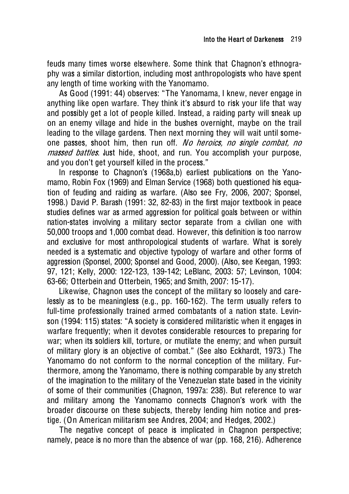feuds many times worse elsewhere. Some think that Chagnon's ethnography was a similar distortion, including most anthropologists who have spent any length of time working with the Yanomamo.

As Good (1991: 44) observes: "The Yanomama, I knew, never engage in anything like open warfare. They think it's absurd to risk your life that way and possibly get a lot of people killed. Instead, a raiding party will sneak up on an enemy village and hide in the bushes overnight, maybe on the trail leading to the village gardens. Then next morning they will wait until someone passes, shoot him, then run off. No heroics, no single combat, no massed battles. Just hide, shoot, and run. You accomplish your purpose, and you don't get yourself killed in the process."

In response to Chagnon's (1968a,b) earliest publications on the Yanomamo, Robin Fox (1969) and Elman Service (1968) both questioned his equation of feuding and raiding as warfare. (Also see Fry, 2006, 2007; Sponsel, 1998.) David P. Barash (1991: 32, 82-83) in the first major textbook in peace studies defines war as armed aggression for political goals between or within nation-states involving a military sector separate from a civilian one with 50,000 troops and 1,000 combat dead. However, this definition is too narrow and exclusive for most anthropological students of warfare. What is sorely needed is a systematic and objective typology of warfare and other forms of aggression (Sponsel, 2000; Sponsel and Good, 2000). (Also, see Keegan, 1993: 97, 121; Kelly, 2000: 122-123, 139-142; LeBlanc, 2003: 57; Levinson, 1004: 63-66; Otterbein and Otterbein, 1965; and Smith, 2007: 15-17).

Likewise, Chagnon uses the concept of the military so loosely and carelessly as to be meaningless (e.g., pp. 160-162). The term usually refers to full-time professionally trained armed combatants of a nation state. Levinson (1994: 115) states: "A society is considered militaristic when it engages in warfare frequently; when it devotes considerable resources to preparing for war; when its soldiers kill, torture, or mutilate the enemy; and when pursuit of military glory is an objective of combat." (See also Eckhardt, 1973.) The Yanomamo do not conform to the normal conception of the military. Furthermore, among the Yanomamo, there is nothing comparable by any stretch of the imagination to the military of the Venezuelan state based in the vicinity of some of their communities (Chagnon, 1997a: 238). But reference to war and military among the Yanomamo connects Chagnon's work with the broader discourse on these subjects, thereby lending him notice and prestige. (On American militarism see Andres, 2004; and Hedges, 2002.)

The negative concept of peace is implicated in Chagnon perspective; namely, peace is no more than the absence of war (pp. 168, 216). Adherence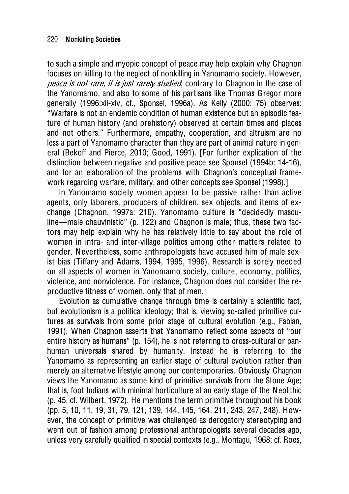to such a simple and myopic concept of peace may help explain why Chagnon focuses on killing to the neglect of nonkilling in Yanomamo society. However, peace is not rare, it is just rarely studied, contrary to Chagnon in the case of the Yanomamo, and also to some of his partisans like Thomas Gregor more generally (1996:xii-xiv, cf., Sponsel, 1996a). As Kelly (2000: 75) observes: "Warfare is not an endemic condition of human existence but an episodic feature of human history (and prehistory) observed at certain times and places and not others." Furthermore, empathy, cooperation, and altruism are no less a part of Yanomamo character than they are part of animal nature in general (Bekoff and Pierce, 2010; Good, 1991). [For further explication of the distinction between negative and positive peace see Sponsel (1994b: 14-16), and for an elaboration of the problems with Chagnon's conceptual framework regarding warfare, military, and other concepts see Sponsel (1998).]

In Yanomamo society women appear to be passive rather than active agents, only laborers, producers of children, sex objects, and items of exchange (Chagnon, 1997a: 210). Yanomamo culture is "decidedly masculine—male chauvinistic" (p. 122) and Chagnon is male; thus, these two factors may help explain why he has relatively little to say about the role of women in intra- and inter-village politics among other matters related to gender. Nevertheless, some anthropologists have accused him of male sexist bias (Tiffany and Adams, 1994, 1995, 1996). Research is sorely needed on all aspects of women in Yanomamo society, culture, economy, politics, violence, and nonviolence. For instance, Chagnon does not consider the reproductive fitness of women, only that of men.

Evolution as cumulative change through time is certainly a scientific fact, but evolutionism is a political ideology; that is, viewing so-called primitive cultures as survivals from some prior stage of cultural evolution (e.g., Fabian, 1991). When Chagnon asserts that Yanomamo reflect some aspects of "our entire history as humans" (p. 154), he is not referring to cross-cultural or panhuman universals shared by humanity. Instead he is referring to the Yanomamo as representing an earlier stage of cultural evolution rather than merely an alternative lifestyle among our contemporaries. Obviously Chagnon views the Yanomamo as some kind of primitive survivals from the Stone Age; that is, foot Indians with minimal horticulture at an early stage of the Neolithic (p. 45, cf. Wilbert, 1972). He mentions the term primitive throughout his book (pp. 5, 10, 11, 19, 31, 79, 121, 139, 144, 145, 164, 211, 243, 247, 248). However, the concept of primitive was challenged as derogatory stereotyping and went out of fashion among professional anthropologists several decades ago, unless very carefully qualified in special contexts (e.g., Montagu, 1968; cf. Roes,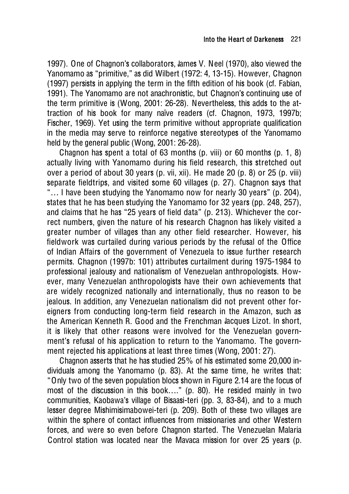1997). One of Chagnon's collaborators, James V. Neel (1970), also viewed the Yanomamo as "primitive," as did Wilbert (1972: 4, 13-15). However, Chagnon (1997) persists in applying the term in the fifth edition of his book (cf. Fabian, 1991). The Yanomamo are not anachronistic, but Chagnon's continuing use of the term primitive is (Wong, 2001: 26-28). Nevertheless, this adds to the attraction of his book for many naïve readers (cf. Chagnon, 1973, 1997b; Fischer, 1969). Yet using the term primitive without appropriate qualification in the media may serve to reinforce negative stereotypes of the Yanomamo held by the general public (Wong, 2001: 26-28).

Chagnon has spent a total of 63 months (p. viii) or 60 months (p. 1, 8) actually living with Yanomamo during his field research, this stretched out over a period of about 30 years (p. vii, xii). He made 20 (p. 8) or 25 (p. viii) separate fieldtrips, and visited some 60 villages (p. 27). Chagnon says that "… I have been studying the Yanomamo now for nearly 30 years" (p. 204), states that he has been studying the Yanomamo for 32 years (pp. 248, 257), and claims that he has "25 years of field data" (p. 213). Whichever the correct numbers, given the nature of his research Chagnon has likely visited a greater number of villages than any other field researcher. However, his fieldwork was curtailed during various periods by the refusal of the Office of Indian Affairs of the government of Venezuela to issue further research permits. Chagnon (1997b: 101) attributes curtailment during 1975-1984 to professional jealousy and nationalism of Venezuelan anthropologists. However, many Venezuelan anthropologists have their own achievements that are widely recognized nationally and internationally, thus no reason to be jealous. In addition, any Venezuelan nationalism did not prevent other foreigners from conducting long-term field research in the Amazon, such as the American Kenneth R. Good and the Frenchman Jacques Lizot. In short, it is likely that other reasons were involved for the Venezuelan government's refusal of his application to return to the Yanomamo. The government rejected his applications at least three times (Wong, 2001: 27).

Chagnon asserts that he has studied 25% of his estimated some 20,000 individuals among the Yanomamo (p. 83). At the same time, he writes that: "Only two of the seven population blocs shown in Figure 2.14 are the focus of most of the discussion in this book…." (p. 80). He resided mainly in two communities, Kaobawa's village of Bisaasi-teri (pp. 3, 83-84), and to a much lesser degree Mishimisimabowei-teri (p. 209). Both of these two villages are within the sphere of contact influences from missionaries and other Western forces, and were so even before Chagnon started. The Venezuelan Malaria Control station was located near the Mavaca mission for over 25 years (p.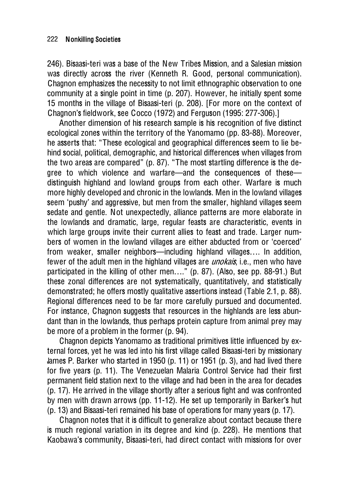246). Bisaasi-teri was a base of the New Tribes Mission, and a Salesian mission was directly across the river (Kenneth R. Good, personal communication). Chagnon emphasizes the necessity to not limit ethnographic observation to one community at a single point in time (p. 207). However, he initially spent some 15 months in the village of Bisaasi-teri (p. 208). [For more on the context of Chagnon's fieldwork, see Cocco (1972) and Ferguson (1995: 277-306).]

Another dimension of his research sample is his recognition of five distinct ecological zones within the territory of the Yanomamo (pp. 83-88). Moreover, he asserts that: "These ecological and geographical differences seem to lie behind social, political, demographic, and historical differences when villages from the two areas are compared" (p. 87). "The most startling difference is the degree to which violence and warfare—and the consequences of these distinguish highland and lowland groups from each other. Warfare is much more highly developed and chronic in the lowlands. Men in the lowland villages seem 'pushy' and aggressive, but men from the smaller, highland villages seem sedate and gentle. Not unexpectedly, alliance patterns are more elaborate in the lowlands and dramatic, large, regular feasts are characteristic, events in which large groups invite their current allies to feast and trade. Larger numbers of women in the lowland villages are either abducted from or 'coerced' from weaker, smaller neighbors—including highland villages…. In addition, fewer of the adult men in the highland villages are *unokais*, i.e., men who have participated in the killing of other men…." (p. 87). (Also, see pp. 88-91.) But these zonal differences are not systematically, quantitatively, and statistically demonstrated; he offers mostly qualitative assertions instead (Table 2.1, p. 88). Regional differences need to be far more carefully pursued and documented. For instance, Chagnon suggests that resources in the highlands are less abundant than in the lowlands, thus perhaps protein capture from animal prey may be more of a problem in the former (p. 94).

Chagnon depicts Yanomamo as traditional primitives little influenced by external forces, yet he was led into his first village called Bisaasi-teri by missionary James P. Barker who started in 1950 (p. 11) or 1951 (p. 3), and had lived there for five years (p. 11). The Venezuelan Malaria Control Service had their first permanent field station next to the village and had been in the area for decades (p. 17). He arrived in the village shortly after a serious fight and was confronted by men with drawn arrows (pp. 11-12). He set up temporarily in Barker's hut (p. 13) and Bisaasi-teri remained his base of operations for many years (p. 17).

Chagnon notes that it is difficult to generalize about contact because there is much regional variation in its degree and kind (p. 228). He mentions that Kaobawa's community, Bisaasi-teri, had direct contact with missions for over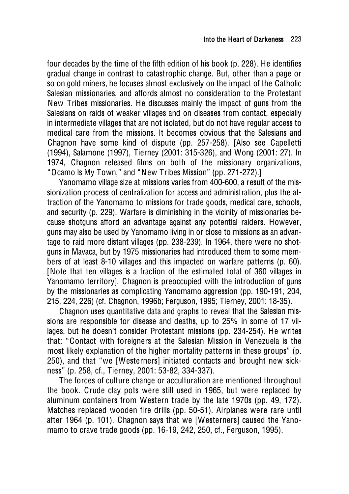four decades by the time of the fifth edition of his book (p. 228). He identifies gradual change in contrast to catastrophic change. But, other than a page or so on gold miners, he focuses almost exclusively on the impact of the Catholic Salesian missionaries, and affords almost no consideration to the Protestant New Tribes missionaries. He discusses mainly the impact of guns from the Salesians on raids of weaker villages and on diseases from contact, especially in intermediate villages that are not isolated, but do not have regular access to medical care from the missions. It becomes obvious that the Salesians and Chagnon have some kind of dispute (pp. 257-258). [Also see Capelletti (1994), Salamone (1997), Tierney (2001: 315-326), and Wong (2001: 27). In 1974, Chagnon released films on both of the missionary organizations, "Ocamo Is My Town," and "New Tribes Mission" (pp. 271-272).]

Yanomamo village size at missions varies from 400-600, a result of the missionization process of centralization for access and administration, plus the attraction of the Yanomamo to missions for trade goods, medical care, schools, and security (p. 229). Warfare is diminishing in the vicinity of missionaries because shotguns afford an advantage against any potential raiders. However, guns may also be used by Yanomamo living in or close to missions as an advantage to raid more distant villages (pp. 238-239). In 1964, there were no shotguns in Mavaca, but by 1975 missionaries had introduced them to some members of at least 8-10 villages and this impacted on warfare patterns (p. 60). [Note that ten villages is a fraction of the estimated total of 360 villages in Yanomamo territory]. Chagnon is preoccupied with the introduction of guns by the missionaries as complicating Yanomamo aggression (pp. 190-191, 204, 215, 224, 226) (cf. Chagnon, 1996b; Ferguson, 1995; Tierney, 2001: 18-35).

Chagnon uses quantitative data and graphs to reveal that the Salesian missions are responsible for disease and deaths, up to 25% in some of 17 villages, but he doesn't consider Protestant missions (pp. 234-254). He writes that: "Contact with foreigners at the Salesian Mission in Venezuela is the most likely explanation of the higher mortality patterns in these groups" (p. 250), and that "we [Westerners] initiated contacts and brought new sickness" (p. 258, cf., Tierney, 2001: 53-82, 334-337).

The forces of culture change or acculturation are mentioned throughout the book. Crude clay pots were still used in 1965, but were replaced by aluminum containers from Western trade by the late 1970s (pp. 49, 172). Matches replaced wooden fire drills (pp. 50-51). Airplanes were rare until after 1964 (p. 101). Chagnon says that we [Westerners] caused the Yanomamo to crave trade goods (pp. 16-19, 242, 250, cf., Ferguson, 1995).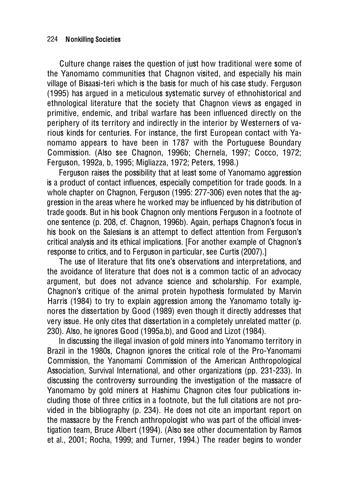Culture change raises the question of just how traditional were some of the Yanomamo communities that Chagnon visited, and especially his main village of Bisaasi-teri which is the basis for much of his case study. Ferguson (1995) has argued in a meticulous systematic survey of ethnohistorical and ethnological literature that the society that Chagnon views as engaged in primitive, endemic, and tribal warfare has been influenced directly on the periphery of its territory and indirectly in the interior by Westerners of various kinds for centuries. For instance, the first European contact with Yanomamo appears to have been in 1787 with the Portuguese Boundary Commission. (Also see Chagnon, 1996b; Chernela, 1997; Cocco, 1972; Ferguson, 1992a, b, 1995; Migliazza, 1972; Peters, 1998.)

Ferguson raises the possibility that at least some of Yanomamo aggression is a product of contact influences, especially competition for trade goods. In a whole chapter on Chagnon, Ferguson (1995: 277-306) even notes that the aggression in the areas where he worked may be influenced by his distribution of trade goods. But in his book Chagnon only mentions Ferguson in a footnote of one sentence (p. 208, cf. Chagnon, 1996b). Again, perhaps Chagnon's focus in his book on the Salesians is an attempt to deflect attention from Ferguson's critical analysis and its ethical implications. [For another example of Chagnon's response to critics, and to Ferguson in particular, see Curtis (2007).]

The use of literature that fits one's observations and interpretations, and the avoidance of literature that does not is a common tactic of an advocacy argument, but does not advance science and scholarship. For example, Chagnon's critique of the animal protein hypothesis formulated by Marvin Harris (1984) to try to explain aggression among the Yanomamo totally ignores the dissertation by Good (1989) even though it directly addresses that very issue. He only cites that dissertation in a completely unrelated matter (p. 230). Also, he ignores Good (1995a,b), and Good and Lizot (1984).

In discussing the illegal invasion of gold miners into Yanomamo territory in Brazil in the 1980s, Chagnon ignores the critical role of the Pro-Yanomami Commission, the Yanomami Commission of the American Anthropological Association, Survival International, and other organizations (pp. 231-233). In discussing the controversy surrounding the investigation of the massacre of Yanomamo by gold miners at Hashimu Chagnon cites four publications including those of three critics in a footnote, but the full citations are not provided in the bibliography (p. 234). He does not cite an important report on the massacre by the French anthropologist who was part of the official investigation team, Bruce Albert (1994). (Also see other documentation by Ramos et al., 2001; Rocha, 1999; and Turner, 1994.) The reader begins to wonder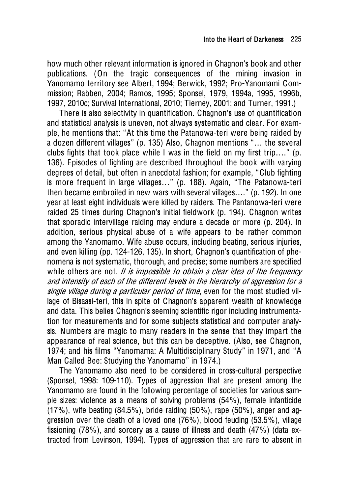how much other relevant information is ignored in Chagnon's book and other publications. (On the tragic consequences of the mining invasion in Yanomamo territory see Albert, 1994; Berwick, 1992; Pro-Yanomami Commission; Rabben, 2004; Ramos, 1995; Sponsel, 1979, 1994a, 1995, 1996b, 1997, 2010c; Survival International, 2010; Tierney, 2001; and Turner, 1991.)

There is also selectivity in quantification. Chagnon's use of quantification and statistical analysis is uneven, not always systematic and clear. For example, he mentions that: "At this time the Patanowa-teri were being raided by a dozen different villages" (p. 135) Also, Chagnon mentions "… the several clubs fights that took place while I was in the field on my first trip…." (p. 136). Episodes of fighting are described throughout the book with varying degrees of detail, but often in anecdotal fashion; for example, "Club fighting is more frequent in large villages…" (p. 188). Again, "The Patanowa-teri then became embroiled in new wars with several villages…." (p. 192). In one year at least eight individuals were killed by raiders. The Pantanowa-teri were raided 25 times during Chagnon's initial fieldwork (p. 194). Chagnon writes that sporadic intervillage raiding may endure a decade or more (p. 204). In addition, serious physical abuse of a wife appears to be rather common among the Yanomamo. Wife abuse occurs, including beating, serious injuries, and even killing (pp. 124-126, 135). In short, Chagnon's quantification of phenomena is not systematic, thorough, and precise; some numbers are specified while others are not. It is impossible to obtain a clear idea of the frequency and intensity of each of the different levels in the hierarchy of aggression for a single village during a particular period of time, even for the most studied village of Bisaasi-teri, this in spite of Chagnon's apparent wealth of knowledge and data. This belies Chagnon's seeming scientific rigor including instrumentation for measurements and for some subjects statistical and computer analysis. Numbers are magic to many readers in the sense that they impart the appearance of real science, but this can be deceptive. (Also, see Chagnon, 1974; and his films "Yanomama: A Multidisciplinary Study" in 1971, and "A Man Called Bee: Studying the Yanomamo" in 1974.)

The Yanomamo also need to be considered in cross-cultural perspective (Sponsel, 1998: 109-110). Types of aggression that are present among the Yanomamo are found in the following percentage of societies for various sample sizes: violence as a means of solving problems (54%), female infanticide (17%), wife beating (84.5%), bride raiding (50%), rape (50%), anger and aggression over the death of a loved one (76%), blood feuding (53.5%), village fissioning (78%), and sorcery as a cause of illness and death (47%) (data extracted from Levinson, 1994). Types of aggression that are rare to absent in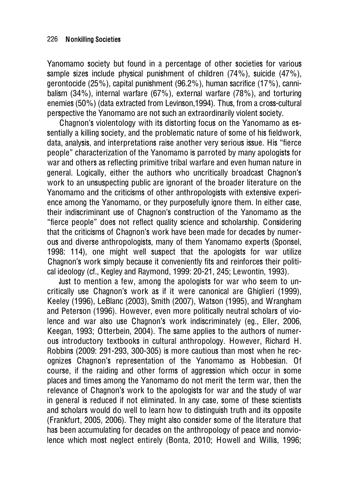Yanomamo society but found in a percentage of other societies for various sample sizes include physical punishment of children (74%), suicide (47%), gerontocide (25%), capital punishment (96.2%), human sacrifice (17%), cannibalism (34%), internal warfare (67%), external warfare (78%), and torturing enemies (50%) (data extracted from Levinson,1994). Thus, from a cross-cultural perspective the Yanomamo are not such an extraordinarily violent society.

Chagnon's violentology with its distorting focus on the Yanomamo as essentially a killing society, and the problematic nature of some of his fieldwork, data, analysis, and interpretations raise another very serious issue. His "fierce people" characterization of the Yanomamo is parroted by many apologists for war and others as reflecting primitive tribal warfare and even human nature in general. Logically, either the authors who uncritically broadcast Chagnon's work to an unsuspecting public are ignorant of the broader literature on the Yanomamo and the criticisms of other anthropologists with extensive experience among the Yanomamo, or they purposefully ignore them. In either case, their indiscriminant use of Chagnon's construction of the Yanomamo as the "fierce people" does not reflect quality science and scholarship. Considering that the criticisms of Chagnon's work have been made for decades by numerous and diverse anthropologists, many of them Yanomamo experts (Sponsel, 1998: 114), one might well suspect that the apologists for war utilize Chagnon's work simply because it conveniently fits and reinforces their political ideology (cf., Kegley and Raymond, 1999: 20-21, 245; Lewontin, 1993).

Just to mention a few, among the apologists for war who seem to uncritically use Chagnon's work as if it were canonical are Ghiglieri (1999), Keeley (1996), LeBlanc (2003), Smith (2007), Watson (1995), and Wrangham and Peterson (1996). However, even more politically neutral scholars of violence and war also use Chagnon's work indiscriminately (eg., Eller, 2006, Keegan, 1993; Otterbein, 2004). The same applies to the authors of numerous introductory textbooks in cultural anthropology. However, Richard H. Robbins (2009: 291-293, 300-305) is more cautious than most when he recognizes Chagnon's representation of the Yanomamo as Hobbesian. Of course, if the raiding and other forms of aggression which occur in some places and times among the Yanomamo do not merit the term war, then the relevance of Chagnon's work to the apologists for war and the study of war in general is reduced if not eliminated. In any case, some of these scientists and scholars would do well to learn how to distinguish truth and its opposite (Frankfurt, 2005, 2006). They might also consider some of the literature that has been accumulating for decades on the anthropology of peace and nonviolence which most neglect entirely (Bonta, 2010; Howell and Willis, 1996;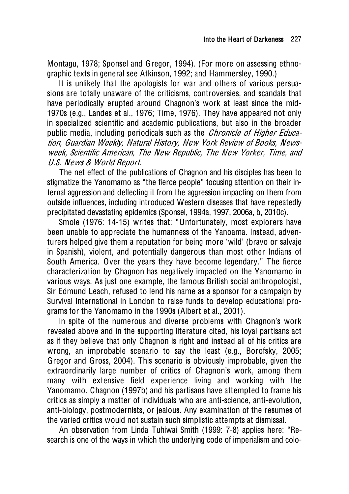Montagu, 1978; Sponsel and Gregor, 1994). (For more on assessing ethnographic texts in general see Atkinson, 1992; and Hammersley, 1990.)

It is unlikely that the apologists for war and others of various persuasions are totally unaware of the criticisms, controversies, and scandals that have periodically erupted around Chagnon's work at least since the mid-1970s (e.g., Landes et al., 1976; Time, 1976). They have appeared not only in specialized scientific and academic publications, but also in the broader public media, including periodicals such as the *Chronicle of Higher Educa*tion, Guardian Weekly, Natural History, New York Review of Books, News<sup>w</sup>eek, Scientific Americ<sup>a</sup>n, The New Republic, The New Yorker, Time, and U.S. New<sup>s</sup> & World Report.

The net effect of the publications of Chagnon and his disciples has been to stigmatize the Yanomamo as "the fierce people" focusing attention on their internal aggression and deflecting it from the aggression impacting on them from outside influences, including introduced Western diseases that have repeatedly precipitated devastating epidemics (Sponsel, 1994a, 1997, 2006a, b, 2010c).

Smole (1976: 14-15) writes that: "Unfortunately, most explorers have been unable to appreciate the humanness of the Yanoama. Instead, adventurers helped give them a reputation for being more 'wild' (bravo or salvaje in Spanish), violent, and potentially dangerous than most other Indians of South America. Over the years they have become legendary." The fierce characterization by Chagnon has negatively impacted on the Yanomamo in various ways. As just one example, the famous British social anthropologist, Sir Edmund Leach, refused to lend his name as a sponsor for a campaign by Survival International in London to raise funds to develop educational programs for the Yanomamo in the 1990s (Albert et al., 2001).

In spite of the numerous and diverse problems with Chagnon's work revealed above and in the supporting literature cited, his loyal partisans act as if they believe that only Chagnon is right and instead all of his critics are wrong, an improbable scenario to say the least (e.g., Borofsky, 2005; Gregor and Gross, 2004). This scenario is obviously improbable, given the extraordinarily large number of critics of Chagnon's work, among them many with extensive field experience living and working with the Yanomamo. Chagnon (1997b) and his partisans have attempted to frame his critics as simply a matter of individuals who are anti-science, anti-evolution, anti-biology, postmodernists, or jealous. Any examination of the resumes of the varied critics would not sustain such simplistic attempts at dismissal.

An observation from Linda Tuhiwai Smith (1999: 7-8) applies here: "Research is one of the ways in which the underlying code of imperialism and colo-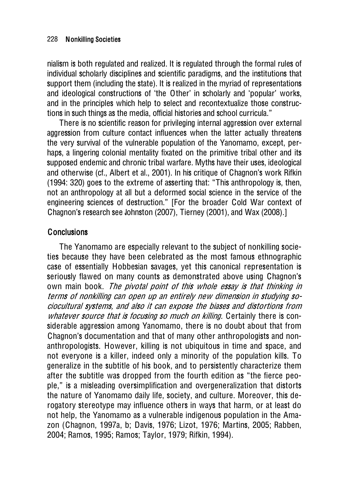nialism is both regulated and realized. It is regulated through the formal rules of individual scholarly disciplines and scientific paradigms, and the institutions that support them (including the state). It is realized in the myriad of representations and ideological constructions of 'the Other' in scholarly and 'popular' works, and in the principles which help to select and recontextualize those constructions in such things as the media, official histories and school curricula."

There is no scientific reason for privileging internal aggression over external aggression from culture contact influences when the latter actually threatens the very survival of the vulnerable population of the Yanomamo, except, perhaps, a lingering colonial mentality fixated on the primitive tribal other and its supposed endemic and chronic tribal warfare. Myths have their uses, ideological and otherwise (cf., Albert et al., 2001). In his critique of Chagnon's work Rifkin (1994: 320) goes to the extreme of asserting that: "This anthropology is, then, not an anthropology at all but a deformed social science in the service of the engineering sciences of destruction." [For the broader Cold War context of Chagnon's research see Johnston (2007), Tierney (2001), and Wax (2008).]

## **Conclusions**

The Yanomamo are especially relevant to the subject of nonkilling societies because they have been celebrated as the most famous ethnographic case of essentially Hobbesian savages, yet this canonical representation is seriously flawed on many counts as demonstrated above using Chagnon's own main book. The pivotal point of this whole essay is that thinking in terms of nonkilling <sup>c</sup>an open up an entirely new dimension in studying <sup>s</sup>o<sup>c</sup>iocultural <sup>s</sup>ystems, and also it <sup>c</sup>an expos<sup>e</sup> the biase<sup>s</sup> <sup>a</sup>nd distortion<sup>s</sup> from whatever source that is focusing so much on killing. Certainly there is considerable aggression among Yanomamo, there is no doubt about that from Chagnon's documentation and that of many other anthropologists and nonanthropologists. However, killing is not ubiquitous in time and space, and not everyone is a killer, indeed only a minority of the population kills. To generalize in the subtitle of his book, and to persistently characterize them after the subtitle was dropped from the fourth edition as "the fierce people," is a misleading oversimplification and overgeneralization that distorts the nature of Yanomamo daily life, society, and culture. Moreover, this derogatory stereotype may influence others in ways that harm, or at least do not help, the Yanomamo as a vulnerable indigenous population in the Amazon (Chagnon, 1997a, b; Davis, 1976; Lizot, 1976; Martins, 2005; Rabben, 2004; Ramos, 1995; Ramos; Taylor, 1979; Rifkin, 1994).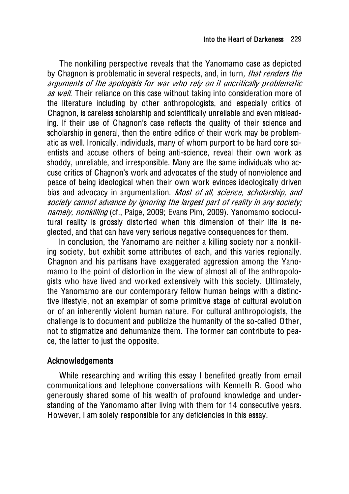The nonkilling perspective reveals that the Yanomamo case as depicted by Chagnon is problematic in several respects, and, in turn, *that renders the* <sup>a</sup>rguments of th<sup>e</sup> <sup>a</sup>pologist<sup>s</sup> for war who rely on it uncritically problemati<sup>c</sup> as well. Their reliance on this case without taking into consideration more of the literature including by other anthropologists, and especially critics of Chagnon, is careless scholarship and scientifically unreliable and even misleading. If their use of Chagnon's case reflects the quality of their science and scholarship in general, then the entire edifice of their work may be problematic as well. Ironically, individuals, many of whom purport to be hard core scientists and accuse others of being anti-science, reveal their own work as shoddy, unreliable, and irresponsible. Many are the same individuals who accuse critics of Chagnon's work and advocates of the study of nonviolence and peace of being ideological when their own work evinces ideologically driven bias and advocacy in argumentation. *Most of all, science, scholarship, and* society cannot advance by ignoring the largest part of reality in any society: namely, nonkilling (cf., Paige, 2009; Evans Pim, 2009). Yanomamo sociocultural reality is grossly distorted when this dimension of their life is neglected, and that can have very serious negative consequences for them.

In conclusion, the Yanomamo are neither a killing society nor a nonkilling society, but exhibit some attributes of each, and this varies regionally. Chagnon and his partisans have exaggerated aggression among the Yanomamo to the point of distortion in the view of almost all of the anthropologists who have lived and worked extensively with this society. Ultimately, the Yanomamo are our contemporary fellow human beings with a distinctive lifestyle, not an exemplar of some primitive stage of cultural evolution or of an inherently violent human nature. For cultural anthropologists, the challenge is to document and publicize the humanity of the so-called Other, not to stigmatize and dehumanize them. The former can contribute to peace, the latter to just the opposite.

## Acknowledgements

While researching and writing this essay I benefited greatly from email communications and telephone conversations with Kenneth R. Good who generously shared some of his wealth of profound knowledge and understanding of the Yanomamo after living with them for 14 consecutive years. However, I am solely responsible for any deficiencies in this essay.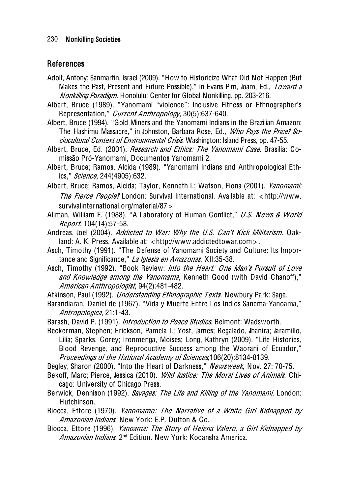## References

- Adolf, Antony; Sanmartin, Israel (2009). "How to Historicize What Did Not Happen (But Makes the Past, Present and Future Possible)," in Evans Pim, Joam, Ed., *Toward a* Nonkilling Paradigm. Honolulu: Center for Global Nonkilling, pp. 203-216.
- Albert, Bruce (1989). "Yanomami "violence": Inclusive Fitness or Ethnographer's Representation," Current Anthropology, 30(5):637-640.
- Albert, Bruce (1994). "Gold Miners and the Yanomami Indians in the Brazilian Amazon: The Hashimu Massacre," in Johnston, Barbara Rose, Ed., Who Pays the Price? So<sup>c</sup>iocultural Context of Environmental Crisis. Washington: Island Press, pp. 47-55.
- Albert, Bruce, Ed. (2001). Research and Ethics: The Yanomami Case. Brasilia: Comissão Pró-Yanomami, Documentos Yanomami 2.
- Albert, Bruce; Ramos, Alcida (1989). "Yanomami Indians and Anthropological Ethics," Science, 244(4905):632.
- Albert, Bruce; Ramos, Alcida; Taylor, Kenneth I.; Watson, Fiona (2001). Yanomami: The Fierce People? London: Survival International. Available at: <http://www. survivalinternational.org/material/87 >
- Allman, William F. (1988). "A Laboratory of Human Conflict," U.S. News & World Report, 104(14):57-58.
- Andreas, Joel (2004). Addicted to War: Why the U.S. Can't Kick Militarism. Oakland: A. K. Press. Available at: < http://www.addictedtowar.com > .
- Asch, Timothy (1991). "The Defense of Yanomami Society and Culture: Its Importance and Significance," La Iglesia en Amazonas, XII:35-38.
- Asch, Timothy (1992). "Book Review: *Into the Heart: One Man's Pursuit of Love* and Knowledge among the Yanomama, Kenneth Good (with David Chanoff)," American Anthropologist, 94(2):481-482.
- Atkinson, Paul (1992). *Understanding Ethnographic Texts*. Newbury Park: Sage.
- Barandiaran, Daniel de (1967). "Vida y Muerte Entre Los Indios Sanema-Yanoama," Antropologic<sup>a</sup>, 21:1-43.
- Barash, David P. (1991). *Introduction to Peace Studies*. Belmont: Wadsworth.
- Beckerman, Stephen; Erickson, Pamela I.; Yost, James; Regalado, Jhanira; Jaramillo, Lilia; Sparks, Corey; Ironmenga, Moises; Long, Kathryn (2009). "Life Histories, Blood Revenge, and Reproductive Success among the Waorani of Ecuador," Proceedings of the National Academy of Science<sup>s</sup>,106(20):8134-8139.
- Begley, Sharon (2000). "Into the Heart of Darkness," Newsweek, Nov. 27: 70-75.
- Bekoff, Marc; Pierce, Jessica (2010). Wild Justice: The Moral Lives of Animals. Chicago: University of Chicago Press.
- Berwick, Dennison (1992). Savages: The Life and Killing of the Yanomami. London: Hutchinson.
- Biocca, Ettore (1970). *Yanomamo: The Narrative of a White Girl Kidnapped by* Amazonian Indians. New York: E.P. Dutton & Co.
- Biocca, Ettore (1996). Yanoama: The Story of Helena Valero, a Girl Kidnapped by Amazonian Indians, 2<sup>nd</sup> Edition. New York: Kodansha America.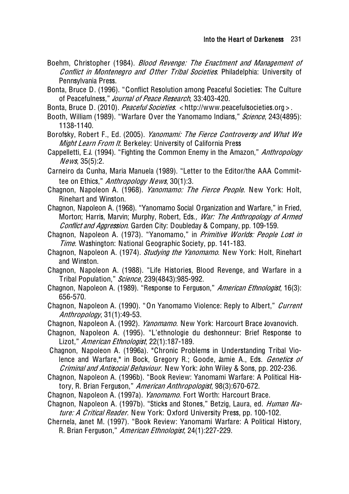- Boehm, Christopher (1984). *Blood Revenge: The Enactment and Management of* Conflict in Montenegro and Other Tribal Societie<sup>s</sup>. Philadelphia: University of Pennsylvania Press.
- Bonta, Bruce D. (1996). "Conflict Resolution among Peaceful Societies: The Culture of Peacefulness," Journal of Peace Research, 33:403-420.
- Bonta, Bruce D. (2010). *Peaceful Societies.* < http://www.peacefulsocieties.org >.
- Booth, William (1989). "Warfare Over the Yanomamo Indians." *Science*, 243(4895): 1138-1140.
- Borofsky, Robert F., Ed. (2005). *Yanomami: The Fierce Controversy and What We* Might Learn From It. Berkeley: University of California Press
- Cappelletti, E.J. (1994). "Fighting the Common Enemy in the Amazon," Anthropology New<sup>s</sup>, 35(5):2.
- Carneiro da Cunha, Maria Manuela (1989). "Letter to the Editor/the AAA Committee on Ethics," Anthropology News, 30(1):3.
- Chagnon, Napoleon A. (1968). *Yanomamo: The Fierce People*. New York: Holt, Rinehart and Winston.
- Chagnon, Napoleon A. (1968). "Yanomamo Social Organization and Warfare," in Fried, Morton: Harris, Marvin: Murphy, Robert, Eds., *War: The Anthropology of Armed* Conflict and Aggression. Garden City: Doubleday & Company, pp. 109-159.
- Chagnon, Napoleon A. (1973). "Yanomamo," in *Primitive Worlds: People Lost in* Tim<sup>e</sup>. Washington: National Geographic Society, pp. 141-183.
- Chagnon, Napoleon A. (1974). *Studving the Yanomamo*, New York: Holt, Rinehart and Winston.
- Chagnon, Napoleon A. (1988). "Life Histories, Blood Revenge, and Warfare in a Tribal Population," Science, 239(4843):985-992.
- Chagnon, Napoleon A. (1989). "Response to Ferguson," *American Ethnologist*, 16(3): 656-570.
- Chagnon, Napoleon A. (1990). "On Yanomamo Violence: Reply to Albert," Current Anthropology, 31(1):49-53.
- Chagnon, Napoleon A. (1992). *Yanomamo*. New York: Harcourt Brace Jovanovich.
- Chagnon, Napoleon A. (1995). "L'ethnologie du deshonneur: Brief Response to Lizot," American Ethnologist, 22(1):187-189.
- Chagnon, Napoleon A. (1996a). "Chronic Problems in Understanding Tribal Violence and Warfare," in Bock, Gregory R.; Goode, Jamie A., Eds. *Genetics of* Criminal <sup>a</sup>nd Antisocial Behaviour. New York: John Wiley & Sons, pp. 202-236.
- Chagnon, Napoleon A. (1996b). "Book Review: Yanomami Warfare: A Political History, R. Brian Ferguson," American Anthropologist, 98(3):670-672.
- Chagnon, Napoleon A. (1997a). *Yanomamo*, Fort Worth: Harcourt Brace.
- Chagnon, Napoleon A. (1997b). "Sticks and Stones," Betzig, Laura, ed. *Human Na*ture: A Critical Reader. New York: Oxford University Press, pp. 100-102.
- Chernela, Janet M. (1997). "Book Review: Yanomami Warfare: A Political History, R. Brian Ferguson," American Ethnologist, 24(1):227-229.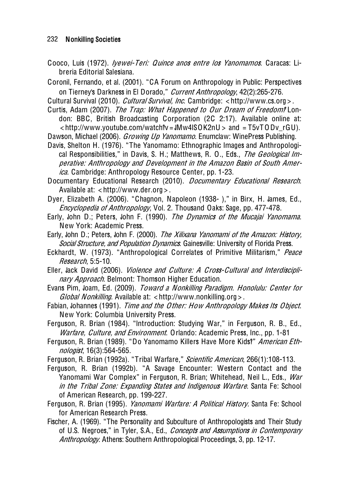- Cooco, Luis (1972). *Iyewei-Teri: Quince anos entre los Yanomamos*. Caracas: Libreria Editorial Salesiana.
- Coronil, Fernando, et al. (2001). "CA Forum on Anthropology in Public: Perspectives on Tierney's Darkness in El Dorado," Current Anthropology, 42(2):265-276.
- Cultural Survival (2010). *Cultural Survival, Inc.* Cambridge: <http://www.cs.org>.
- Curtis, Adam (2007). The Trap: What Happened to Our Dream of Freedom? London: BBC, British Broadcasting Corporation (2C 2:17). Available online at:  $\langle$ http://www.youtube.com/watch?v = JMw4ISOK2nU > and = T5vTODv\_rGU).

Dawson, Michael (2006). *Growing Up Yanomamo*. Enumclaw: WinePress Publishing.

- Davis, Shelton H. (1976). "The Yanomamo: Ethnographic Images and Anthropological Responsibilities," in Davis, S. H.; Matthews, R. O., Eds., The Geological Imperative: Anthropology <sup>a</sup>nd Development in the Amazon Basin of South America. Cambridge: Anthropology Resource Center, pp. 1-23.
- Documentary Educational Research (2010). *Documentary Educational Research*. Available at: < http://www.der.org > .
- Dyer, Elizabeth A. (2006). "Chagnon, Napoleon (1938- )," in Birx, H. James, Ed., Encyclopedia of Anthropology, Vol. 2. Thousand Oaks: Sage, pp. 477-478.
- Early, John D.; Peters, John F. (1990). The Dynamics of the Mucajai Yanomama. New York: Academic Press.
- Early, John D.; Peters, John F. (2000). The Xilixana Yanomami of the Amazon: History, Social Structure, and Population Dynamics. Gainesville: University of Florida Press.
- Eckhardt, W. (1973). "Anthropological Correlates of Primitive Militarism." Peace Research, 5:5-10.
- Eller, Jack David (2006). Violence and Culture: A Cross-Cultural and Interdisciplinary Approach. Belmont: Thomson Higher Education.
- Evans Pim, Joam, Ed. (2009). Toward a Nonkilling Paradigm. Honolulu: Center for Global Nonkilling. Available at: <http://www.nonkilling.org>.
- Fabian, Johannes (1991). Time and the Other: How Anthropology Makes Its Object. New York: Columbia University Press.
- Ferguson, R. Brian (1984). "Introduction: Studying War," in Ferguson, R. B., Ed., Warfare, Culture, and Environment. Orlando: Academic Press, Inc., pp. 1-81
- Ferguson, R. Brian (1989). "Do Yanomamo Killers Have More Kids?" American Ethnologist, 16(3):564-565.
- Ferguson, R. Brian (1992a). "Tribal Warfare," Scientific American, 266(1):108-113.
- Ferguson, R. Brian (1992b). "A Savage Encounter: Western Contact and the Yanomami War Complex" in Ferguson, R. Brian; Whitehead, Neil L., Eds., War in the Tribal Zone: Expanding States and Indigenous Warfare. Santa Fe: School of American Research, pp. 199-227.
- Ferguson, R. Brian (1995). *Yanomami Warfare: A Political History*. Santa Fe: School for American Research Press.
- Fischer, A. (1969). "The Personality and Subculture of Anthropologists and Their Study of U.S. Negroes," in Tyler, S.A., Ed., *Concepts and Assumptions in Contemporary* Anthropology. Athens: Southern Anthropological Proceedings, 3, pp. 12-17.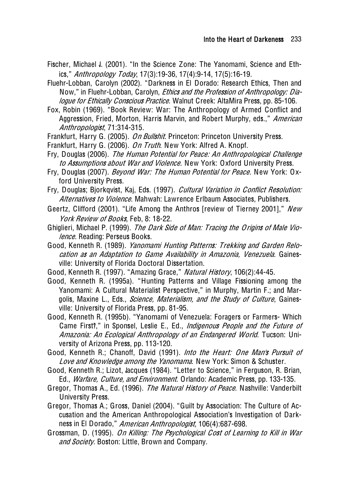- Fischer, Michael J. (2001). "In the Science Zone: The Yanomami, Science and Ethics," Anthropology Today, 17(3):19-36, 17(4):9-14, 17(5):16-19.
- Fluehr-Lobban, Carolyn (2002). "Darkness in El Dorado: Research Ethics, Then and Now," in Fluehr-Lobban, Carolyn, Ethic<sup>s</sup> <sup>a</sup>nd th<sup>e</sup> Profession of Anthropology: Dialogue for Ethically Conscious Practice. Walnut Creek: AltaMira Press, pp. 85-106.
- Fox, Robin (1969). "Book Review: War: The Anthropology of Armed Conflict and Aggression, Fried, Morton, Harris Marvin, and Robert Murphy, eds.," American Anthropologist, 71:314-315.
- Frankfurt, Harry G. (2005). On Bullshit. Princeton: Princeton University Press.
- Frankfurt, Harry G. (2006). On Truth. New York: Alfred A. Knopf.
- Fry, Douglas (2006). The Human Potential for Peace: An Anthropological Challeng<sup>e</sup> to Assumptions about War and Violence. New York: Oxford University Press.
- Fry, Douglas (2007). Beyond War: The Human Potential for Peace. New York: Oxford University Press.
- Fry, Douglas; Bjorkqvist, Kaj, Eds. (1997). Cultural Variation in Conflict Resolution: Alternatives to Violence. Mahwah: Lawrence Erlbaum Associates. Publishers.
- Geertz, Clifford (2001). "Life Among the Anthros [review of Tierney 2001]," New York Review of Books, Feb. 8: 18-22.
- Ghiglieri, Michael P. (1999). The Dark Side of Man: Tracing the Origins of Male Violence. Reading: Perseus Books.
- Good, Kenneth R. (1989). Yanomami Hunting Patterns: Trekking <sup>a</sup>nd Garden Relo<sup>c</sup>ation a<sup>s</sup> <sup>a</sup>n Adaptation to Game Availability in Amazonia, Venezuela. Gainesville: University of Florida Doctoral Dissertation.
- Good, Kenneth R. (1997). "Amazing Grace," Natural History, 106(2):44-45.
- Good, Kenneth R. (1995a). "Hunting Patterns and Village Fissioning among the Yanomami: A Cultural Materialist Perspective," in Murphy, Martin F.; and Margolis, Maxine L., Eds., *Science, Materialism, and the Study of Culture*, Gainesville: University of Florida Press, pp. 81-95.
- Good, Kenneth R. (1995b). "Yanomami of Venezuela: Foragers or Farmers- Which Came First?," in Sponsel, Leslie E., Ed., *Indigenous People and the Future of* Amazonia: An Ecological Anthropology of <sup>a</sup>n Endangered World. Tucson: University of Arizona Press, pp. 113-120.
- Good, Kenneth R.; Chanoff, David (1991). Into the Heart: One Man's Pursuit of Love and Knowledge among the Yanomama. New York: Simon & Schuster.
- Good, Kenneth R.; Lizot, Jacques (1984). "Letter to Science," in Ferguson, R. Brian, Ed., *Warfare, Culture, and Environment*, Orlando: Academic Press, pp. 133-135.
- Gregor, Thomas A., Ed. (1996). The Natural History of Peace. Nashville: Vanderbilt University Press.
- Gregor, Thomas A.; Gross, Daniel (2004). "Guilt by Association: The Culture of Accusation and the American Anthropological Association's Investigation of Darkness in El Dorado," *American Anthropologist*, 106(4):687-698.
- Grossman, D. (1995). On Killing: The Psychological Cost of Learning to Kill in War and Society. Boston: Little, Brown and Company.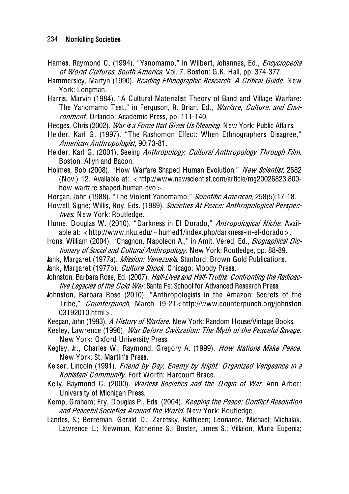- Hames, Raymond C. (1994). "Yanomamo," in Wilbert, Johannes, Ed., *Encyclopedia* <sup>o</sup>f World Cultures: South Americ<sup>a</sup>, Vol. 7. Boston: G.K. Hall, pp. 374-377.
- Hammersley, Martyn (1990). *Reading Ethnographic Research: A Critical Guide*. New York: Longman.
- Harris, Marvin (1984). "A Cultural Materialist Theory of Band and Village Warfare: The Yanomamo Test," in Ferguson, R. Brian, Ed., *Warfare, Culture, and Envi*ronment, Orlando: Academic Press, pp. 111-140.
- Hedges, Chris (2002). War is a Force that Gives Us Meaning. New York: Public Affairs.
- Heider, Karl G. (1997). "The Rashomon Effect: When Ethnographers Disagree," American Anthropologist, 90:73-81.
- Heider, Karl G. (2001). Seeing Anthropology: Cultural Anthropology Through Film. Boston: Allyn and Bacon.
- Holmes, Bob (2008). "How Warfare Shaped Human Evolution," New Scientist, 2682 (Nov.) 12. Available at: < http://www.newscientist.com/article/mg20026823.800 how-warfare-shaped-human-evo > .
- Horgan, John (1988). "The Violent Yanomamo," Scientific American, 258(5):17-18.
- Howell, Signe; Willis, Roy, Eds. (1989). Societies At Peace: Anthropological Perspectives. New York: Routledge.
- Hume, Douglas W. (2010). "Darkness in El Dorado," Antropological Niche, Available at: < http://www.nku.edu/ ~ humed1/index.php/darkness-in-el-dorado > .
- Irons, William (2004). "Chagnon, Napoleon A.," in Amit, Vered, Ed., *Biographical Dic*tionary of Social and Cultural Anthropology. New York: Routledge, pp. 88-89.
- Jank, Margaret (1977a). Mission: Venezuela. Stanford: Brown Gold Publications.
- Jank, Margaret (1977b). *Culture Shock*, Chicago: Moody Press.
- Johnston, Barbara Rose, Ed. (2007). Half-Lives and Half-Truths: Confronting the Radioactive Legacies of the Cold War. Santa Fe: School for Advanced Research Press.
- Johnston, Barbara Rose (2010). "Anthropologists in the Amazon: Secrets of the Tribe," Counterpun<sup>c</sup>h, March 19-21 < http://www.counterpunch.org/johnston  $03192010.html$
- Keegan, John (1993). A History of Warfare. New York: Random House/Vintage Books.
- Keeley, Lawrence (1996). War Before Civilization: The Myth of th<sup>e</sup> Peaceful Savage. New York: Oxford University Press.
- Kegley, Jr., Charles W.; Raymond, Gregory A. (1999). How Nations Make Peace. New York: St. Martin's Press.
- Keiser, Lincoln (1991). Friend by Day, Enemy by Night: Organized Vengeance in a Kohistani Community. Fort Worth: Harcourt Brace.
- Kelly, Raymond C. (2000). *Warless Societies and the Origin of War*. Ann Arbor: University of Michigan Press.
- Kemp, Graham; Fry, Douglas P., Eds. (2004). Keeping th<sup>e</sup> Peace: Conflict Resolution and Peaceful Societies Around the World. New York: Routledge.
- Landes, S.; Berreman, Gerald D.; Zaretsky, Kathleen; Leonardo, Michael; Michalak, Lawrence L.; Newman, Katherine S.; Boster, James S.; Villalon, Maria Eugenia;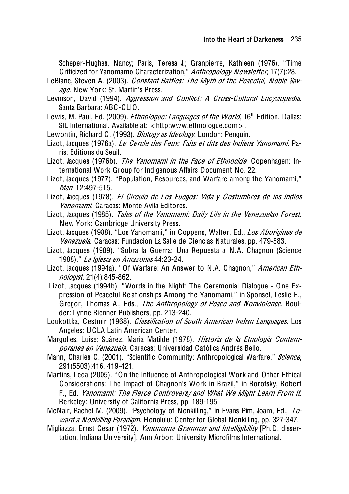Scheper-Hughes, Nancy; Paris, Teresa J.; Granpierre, Kathleen (1976). "Time Criticized for Yanomamo Characterization," Anthropology Newsletter, 17(7):28.

- LeBlanc, Steven A. (2003). Constant Battles: The Myth of the Peaceful, Noble Sayage. New York: St. Martin's Press.
- Levinson, David (1994). Aggression and Conflict: A Cross-Cultural Encyclopedia. Santa Barbara: ABC-CLIO.
- Lewis, M. Paul, Ed. (2009). *Ethnologue: Languages of the World*, 16<sup>th</sup> Edition. Dallas: SIL International. Available at: < http:www.ethnologue.com > .
- Lewontin, Richard C. (1993). *Biology as Ideology*. London: Penguin.
- Lizot, Jacques (1976a). Le Cercle des Feux: Fait<sup>s</sup> et dits de<sup>s</sup> Indiens Yanomami. Paris: Editions du Seuil.
- Lizot, Jacques (1976b). The Yanomami in the Face of Ethnocide. Copenhagen: International Work Group for Indigenous Affairs Document No. 22.
- Lizot, Jacques (1977). "Population, Resources, and Warfare among the Yanomami," Man, 12:497-515.
- Lizot, Jacques (1978). El Circulo de Los Fuegos: Vida y Costumbres de los Indios *Yanomami*. Caracas: Monte Avila Editores.
- Lizot, Jacques (1985). Tales of the Yanomami: Daily Life in the Venezuelan Forest. New York: Cambridge University Press.
- Lizot, Jacques (1988). "Los Yanomami," in Coppens, Walter, Ed., Los Aborigines de Venezuela. Caracas: Fundacion La Salle de Ciencias Naturales, pp. 479-583.
- Lizot, Jacques (1989). "Sobra la Guerra: Una Repuesta a N.A. Chagnon (Science 1988)," L<sup>a</sup> Iglesi<sup>a</sup> <sup>e</sup>n Amazona<sup>s</sup> 44:23-24.
- Lizot, Jacques (1994a). "Of Warfare: An Answer to N.A. Chagnon," American Ethnologist, 21(4):845-862.
- Lizot, Jacques (1994b). "Words in the Night: The Ceremonial Dialogue One Expression of Peaceful Relationships Among the Yanomami," in Sponsel, Leslie E., Gregor, Thomas A., Eds., The Anthropology of Peace and Nonviolence. Boulder: Lynne Rienner Publishers, pp. 213-240.
- Loukottka, Cestmir (1968). Classification of South American Indian Languages. Los Angeles: UCLA Latin American Center.
- Margolies, Luise; Suárez, Maria Matilde (1978). Historia de la Etnología Contemporáne<sup>a</sup> <sup>e</sup>n Venezuela. Caracas: Universidad Católica Andrés Bello.
- Mann, Charles C. (2001). "Scientific Community: Anthropological Warfare," Science, 291(5503):416, 419-421.
- Martins, Leda (2005). "On the Influence of Anthropological Work and Other Ethical Considerations: The Impact of Chagnon's Work in Brazil," in Borofsky, Robert F., Ed. Yanomami: The Fierce Controversy <sup>a</sup>nd What We Might Learn From It. Berkeley: University of California Press, pp. 189-195.
- McNair, Rachel M. (2009). "Psychology of Nonkilling," in Evans Pim, Joam, Ed., Toward a Nonkilling Paradigm. Honolulu: Center for Global Nonkilling, pp. 327-347.
- Migliazza, Ernst Cesar (1972). *Yanomama Grammar and Intelligibility* [Ph.D. dissertation, Indiana University]. Ann Arbor: University Microfilms International.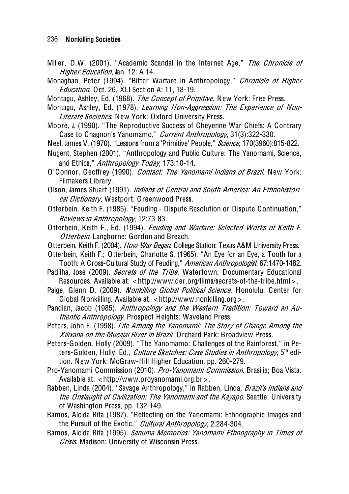Miller, D.W. (2001). "Academic Scandal in the Internet Age," The Chronicle of Higher Education, Jan. 12: A 14.

Monaghan, Peter (1994). "Bitter Warfare in Anthropology," Chronicle of Higher Education, Oct. 26, XLI Section A: 11, 18-19.

Montagu, Ashley, Ed. (1968). The Concept of Primitive. New York: Free Press.

- Montagu, Ashley, Ed. (1978). Learning Non-Aggression: The Experience of Non-Literate Societies. New York: Oxford University Press.
- Moore, J. (1990). "The Reproductive Success of Cheyenne War Chiefs: A Contrary Case to Chagnon's Yanomamo," Current Anthropology, 31(3):322-330.
- Neel, James V. (1970). "Lessons from a 'Primitive' People," Science, 170(3960):815-822.
- Nugent, Stephen (2001). "Anthropology and Public Culture: The Yanomami, Science, and Ethics." Anthropology Today, 173:10-14.
- O'Connor, Geoffrey (1990). *Contact: The Yanomami Indians of Brazil.* New York: Filmakers Library.
- Olson, James Stuart (1991). *Indians of Central and South America: An Ethnohistori*cal Dictionary, Westport: Greenwood Press.
- Otterbein, Keith F. (1985). "Feuding Dispute Resolution or Dispute Continuation," Review<sup>s</sup> in Anthropology, 12:73-83.
- Otterbein, Keith F., Ed. (1994). *Feuding and Warfare: Selected Works of Keith F.* Otterbein. Langhorne: Gordon and Breach.
- Otterbein, Keith F. (2004). How War Began. College Station: Texas A&M University Press.
- Otterbein, Keith F.; Otterbein, Charlotte S. (1965). "An Eye for an Eye, a Tooth for a Tooth: A Cross-Cultural Study of Feuding," American Anthropologist, 67:1470-1482.
- Padilha, Jose (2009). *Secrets of the Tribe.* Watertown: Documentary Educational Resources. Available at: < http://www.der.org/films/secrets-of-the-tribe.html > .
- Paige, Glenn D. (2009). *Nonkilling Global Political Science*. Honolulu: Center for Global Nonkilling. Available at: < http://www.nonkilling.org > .
- Pandian, Jacob (1985). Anthropology and the Western Tradition: Toward an Authentic Anthropology. Prospect Heights: Waveland Press.
- Peters, John F. (1998). Life Among the Yanomami: Th<sup>e</sup> Story of Change Among th<sup>e</sup> Xilixana on the Mucajai River in Brazil. Orchard Park: Broadview Press.
- Peters-Golden, Holly (2009). "The Yanomamo: Challenges of the Rainforest," in Peters-Golden, Holly, Ed., *Culture Sketches: Case Studies in Anthropology*, 5<sup>th</sup> edition. New York: McGraw-Hill Higher Education, pp. 260-279.
- Pro-Yanomami Commission (2010). Pro-Yanomami Commission. Brasília; Boa Vista. Available at: < http://www.proyanomami.org.br > .
- Rabben, Linda (2004). "Savage Anthropology," in Rabben, Linda, *Brazil's Indians and* the Onslaught of Civilization: The Yanomami and the Kayapo. Seattle: University of Washington Press, pp. 132-149.
- Ramos, Alcida Rita (1987). "Reflecting on the Yanomami: Ethnographic Images and the Pursuit of the Exotic," *Cultural Anthropology*, 2:284-304.
- Ramos, Alcida Rita (1995). Sanuma Memories: Yanomami Ethnogr<sup>a</sup>phy in Times of Crisis. Madison: University of Wisconsin Press.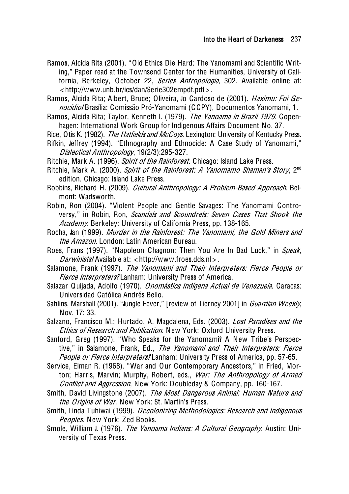- Ramos, Alcida Rita (2001). "Old Ethics Die Hard: The Yanomami and Scientific Writing," Paper read at the Townsend Center for the Humanities, University of California, Berkeley, October 22, Series Antropologia, 302, Available online at: < http://www.unb.br/ics/dan/Serie302empdf.pdf > .
- Ramos, Alcida Rita; Albert, Bruce; Oliveira, Jo Cardoso de (2001). Haximu: Foi Genocídio! Brasília: Comissão Pró-Yanomami (CCPY), Documentos Yanomami, 1.
- Ramos, Alcida Rita; Taylor, Kenneth I. (1979). *The Yanoama in Brazil 1979*, Copenhagen: International Work Group for Indigenous Affairs Document No. 37.
- Rice, Otis K. (1982). The Hatfields and McCovs. Lexington: University of Kentucky Press.
- Rifkin, Jeffrey (1994). "Ethnography and Ethnocide: A Case Study of Yanomami," Dialectical Anthropology, 19(2/3):295-327.
- Ritchie, Mark A. (1996). Spirit of the Rainforest. Chicago: Island Lake Press.
- Ritchie, Mark A. (2000). *Spirit of the Rainforest: A Yanomamo Shaman's Story*. 2<sup>nd</sup> edition. Chicago: Island Lake Press.
- Robbins, Richard H. (2009). Cultural Anthropology: A Problem-Based Approach. Belmont: Wadsworth.
- Robin, Ron (2004). "Violent People and Gentle Savages: The Yanomami Controversy," in Robin, Ron, *Scandals and Scoundrels: Seven Cases That Shook the* Academy. Berkeley: University of California Press, pp. 138-165.
- Rocha, Jan (1999). Murder in the Rainforest: The Yanomami, the Gold Miners and the Amazon. London: Latin American Bureau.
- Roes, Frans (1997). "Napoleon Chagnon: Then You Are In Bad Luck," in Speak, Darwinists! Available at: <http://www.froes.dds.nl>.
- Salamone, Frank (1997). The Yanomami and Their Interpreters: Fierce People or Fierce Interpreters? Lanham: University Press of America.
- Salazar Quijada, Adolfo (1970). Onomástica Indígena Actual de Venezuela. Caracas: Universidad Católica Andrés Bello.
- Sahlins, Marshall (2001). "Jungle Fever," [review of Tierney 2001] in *Guardian Weekly*, Nov. 17: 33.
- Salzano, Francisco M.; Hurtado, A. Magdalena, Eds. (2003). *Lost Paradises and the* Ethics of Research and Publication. New York: Oxford University Press.
- Sanford, Greg (1997). "Who Speaks for the Yanomami? A New Tribe's Perspective," in Salamone, Frank, Ed., The Yanomami and Their Interpreters: Fierce People or Fierce Interpreters? Lanham: University Press of America, pp. 57-65.
- Service, Elman R. (1968). "War and Our Contemporary Ancestors," in Fried, Morton; Harris, Marvin; Murphy, Robert, eds., War: The Anthropology of Armed Conflict and Aggression, New York: Doubleday & Company, pp. 160-167.
- Smith, David Livingstone (2007). The Most Dangerous Animal: Human Nature and the Origins of War. New York: St. Martin's Press.
- Smith, Linda Tuhiwai (1999). *Decolonizing Methodologies: Research and Indigenous* Peoples. New York: Zed Books.
- Smole, William J. (1976). The Yanoama Indians: A Cultural Geography. Austin: University of Texas Press.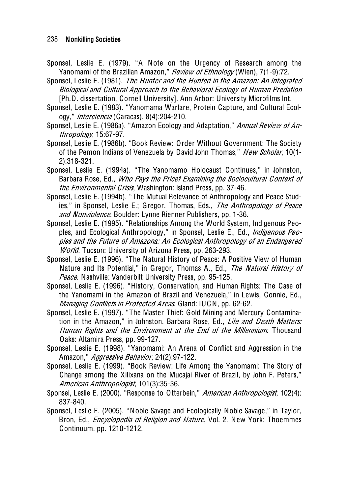- Sponsel, Leslie E. (1979). "A Note on the Urgency of Research among the Yanomami of the Brazilian Amazon," Review of Ethnology (Wien), 7(1-9):72.
- Sponsel, Leslie E. (1981). The Hunter and the Hunted in the Amazon: An Integrated Biological <sup>a</sup>nd Cultural Appro<sup>a</sup>ch to the Behavioral Ecology of Human Predation [Ph.D. dissertation, Cornell University]. Ann Arbor: University Microfilms Int.
- Sponsel, Leslie E. (1983). "Yanomama Warfare, Protein Capture, and Cultural Ecology," *Interciencia* (Caracas), 8(4):204-210.
- Sponsel, Leslie E. (1986a). "Amazon Ecology and Adaptation," Annual Review of Anthropology, 15:67-97.
- Sponsel, Leslie E. (1986b). "Book Review: Order Without Government: The Society of the Pemon Indians of Venezuela by David John Thomas," New Scholar, 10(1-2):318-321.
- Sponsel, Leslie E. (1994a). "The Yanomamo Holocaust Continues," in Johnston, Barbara Rose, Ed., *Who Pays the Price? Examining the Sociocultural Context of* the Environmental Crisis, Washington: Island Press, pp. 37-46.
- Sponsel, Leslie E. (1994b). "The Mutual Relevance of Anthropology and Peace Studies," in Sponsel, Leslie E.; Gregor, Thomas, Eds., The Anthropology of Peace and Nonviolence. Boulder: Lynne Rienner Publishers, pp. 1-36.
- Sponsel, Leslie E. (1995). "Relationships Among the World System, Indigenous Peoples, and Ecological Anthropology," in Sponsel, Leslie E., Ed., *Indigenous Peo*ple<sup>s</sup> <sup>a</sup>nd the Future of Amazona: An Ecological Anthropology of <sup>a</sup>n Endangered World. Tucson: University of Arizona Press, pp. 263-293.
- Sponsel, Leslie E. (1996). "The Natural History of Peace: A Positive View of Human Nature and Its Potential," in Gregor, Thomas A., Ed., The Natural History of Peace. Nashville: Vanderbilt University Press, pp. 95-125.
- Sponsel, Leslie E. (1996). "History, Conservation, and Human Rights: The Case of the Yanomami in the Amazon of Brazil and Venezuela," in Lewis, Connie, Ed., Managing Conflicts in Protected Areas. Gland: IUCN, pp. 62-62.
- Sponsel, Leslie E. (1997). "The Master Thief: Gold Mining and Mercury Contamination in the Amazon," in Johnston, Barbara Rose, Ed., *Life and Death Matters:* Human Right<sup>s</sup> <sup>a</sup>nd the Environment <sup>a</sup>t the End of the Millennium. Thousand Oaks: Altamira Press, pp. 99-127.
- Sponsel, Leslie E. (1998). "Yanomami: An Arena of Conflict and Aggression in the Amazon," *Aggressive Behavior*, 24(2):97-122.
- Sponsel, Leslie E. (1999). "Book Review: Life Among the Yanomami: The Story of Change among the Xilixana on the Mucajai River of Brazil, by John F. Peters," American Anthropologist, 101(3):35-36.
- Sponsel, Leslie E. (2000). "Response to Otterbein," American Anthropologist, 102(4): 837-840.
- Sponsel, Leslie E. (2005). "Noble Savage and Ecologically Noble Savage," in Taylor, Bron, Ed., *Encyclopedia of Religion and Nature*, Vol. 2. New York: Thoemmes Continuum, pp. 1210-1212.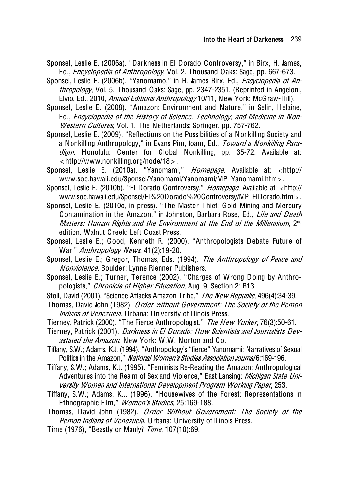- Sponsel, Leslie E. (2006a). "Darkness in El Dorado Controversy," in Birx, H. James, Ed., *Encyclopedia of Anthropology*, Vol. 2. Thousand Oaks: Sage, pp. 667-673.
- Sponsel, Leslie E. (2006b). "Yanomamo," in H. James Birx, Ed., *Encyclopedia of An*thropology, Vol. 5. Thousand Oaks: Sage, pp. 2347-2351. (Reprinted in Angeloni, Elvio, Ed., 2010, Annual Editions Anthropology 10/11, New York: McGraw-Hill).
- Sponsel, Leslie E. (2008). "Amazon: Environment and Nature," in Selin, Helaine, Ed., Encyclopedia of the History of Science, Technology, and Medicin<sup>e</sup> in Non-Western Cultures, Vol. 1. The Netherlands: Springer, pp. 757-762.
- Sponsel, Leslie E. (2009). "Reflections on the Possibilities of a Nonkilling Society and a Nonkilling Anthropology," in Evans Pim, Joam, Ed., Toward a Nonkilling Paradigm. Honolulu: Center for Global Nonkilling, pp. 35-72. Available at: < http://www.nonkilling.org/node/18 > .
- Sponsel, Leslie E. (2010a). "Yanomami," Homepage. Available at: <http:// www.soc.hawaii.edu/Sponsel/Yanomami/Yanomami/MP\_Yanomami.htm>.
- Sponsel, Leslie E. (2010b). "El Dorado Controversy," Homepage. Available at: <http:// www.soc.hawaii.edu/Sponsel/El%20Dorado%20Controversy/MP\_ElDorado.html>.
- Sponsel, Leslie E. (2010c, in press). "The Master Thief: Gold Mining and Mercury Contamination in the Amazon," in Johnston, Barbara Rose, Ed., *Life and Death* Matters: Human Rights and the Environment at the End of the Millennium, 2<sup>nd</sup> edition. Walnut Creek: Left Coast Press.
- Sponsel, Leslie E.; Good, Kenneth R. (2000). "Anthropologists Debate Future of War," Anthropology News, 41(2):19-20.
- Sponsel, Leslie E.; Gregor, Thomas, Eds. (1994). The Anthropology of Peace and Nonviolence. Boulder: Lynne Rienner Publishers.
- Sponsel, Leslie E.; Turner, Terence (2002). "Charges of Wrong Doing by Anthropologists," Chronicle of Higher Education, Aug. 9, Section 2: B13.
- Stoll, David (2001). "Science Attacks Amazon Tribe," The New Republic, 496(4):34-39.
- Thomas, David John (1982). Order without Government: The Society of the Pemon Indians of Venezuela. Urbana: University of Illinois Press.
- Tierney, Patrick (2000). "The Fierce Anthropologist," The New Yorker, 76(3):50-61.
- Tierney, Patrick (2001). *Darkness in El Dorado: How Scientists and Journalists Dev*astated the Amazon. New York: W.W. Norton and Co.
- Tiffany, S.W.; Adams, K.J. (1994). "Anthropology's "fierce" Yanomami: Narratives of Sexual Politics in the Amazon," National Women's Studies Association Journal 6:169-196.
- Tiffany, S.W.; Adams, K.J. (1995). "Feminists Re-Reading the Amazon: Anthropological Adventures into the Realm of Sex and Violence," East Lansing: Michigan State University Women and International Development Program Working Paper, 253.
- Tiffany, S.W.; Adams, K.J. (1996). "Housewives of the Forest: Representations in Ethnographic Film," *Women's Studies*, 25:169-188.
- Thomas, David John (1982). Order Without Government: Th<sup>e</sup> Society of th<sup>e</sup> Pemon Indians of Venezuela. Urbana: University of Illinois Press.
- Time (1976), "Beastly or Manly? *Time*, 107(10):69.